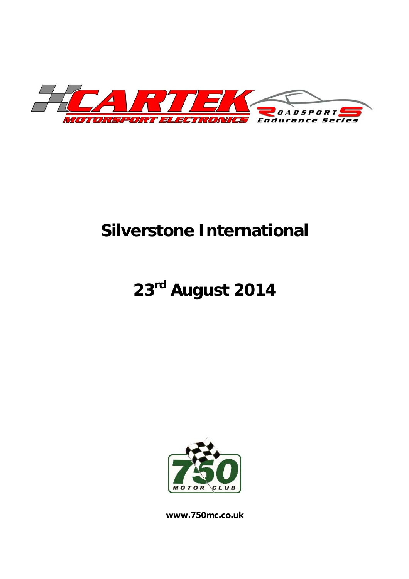

# **Silverstone International**

# **23rd August 2014**



**www.750mc.co.uk**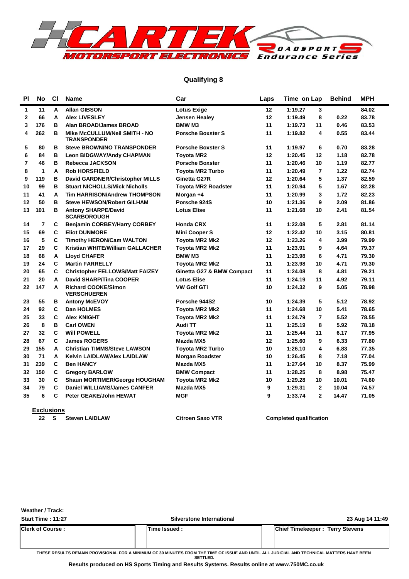

### **Qualifying 8**

| PI             | <b>No</b>      | <b>CI</b>   | <b>Name</b>                                         | Car                        | Laps            | Time on Lap |                 | <b>Behind</b> | <b>MPH</b> |  |
|----------------|----------------|-------------|-----------------------------------------------------|----------------------------|-----------------|-------------|-----------------|---------------|------------|--|
| 1              | 11             | A           | <b>Allan GIBSON</b>                                 | <b>Lotus Exige</b>         | 12              | 1:19.27     | 3               |               | 84.02      |  |
| $\mathbf{2}$   | 66             | A           | <b>Alex LIVESLEY</b>                                | Jensen Healey              | 12 <sup>2</sup> | 1:19.49     | 8               | 0.22          | 83.78      |  |
| 3              | 176            | в           | <b>Alan BROAD/James BROAD</b>                       | <b>BMW M3</b>              | 11              | 1:19.73     | 11              | 0.46          | 83.53      |  |
| 4              | 262            | в           | Mike McCULLUM/Neil SMITH - NO<br><b>TRANSPONDER</b> | <b>Porsche Boxster S</b>   | 11              | 1:19.82     | 4               | 0.55          | 83.44      |  |
| 5              | 80             | B           | <b>Steve BROWN/NO TRANSPONDER</b>                   | <b>Porsche Boxster S</b>   | 11              | 1:19.97     | 6               | 0.70          | 83.28      |  |
| 6              | 84             | B           | <b>Leon BIDGWAY/Andy CHAPMAN</b>                    | <b>Toyota MR2</b>          | 12              | 1:20.45     | 12              | 1.18          | 82.78      |  |
| $\overline{7}$ | 46             | B           | Rebecca JACKSON                                     | <b>Porsche Boxster</b>     | 11              | 1:20.46     | 10              | 1.19          | 82.77      |  |
| 8              | 1              | A           | <b>Rob HORSFIELD</b>                                | <b>Toyota MR2 Turbo</b>    | 11              | 1:20.49     | $\overline{7}$  | 1.22          | 82.74      |  |
| 9              | 119            | в           | David GARDNER/Christopher MILLS                     | Ginetta G27R               | 12              | 1:20.64     | 5               | 1.37          | 82.59      |  |
| 10             | 99             | в           | <b>Stuart NICHOLLS/Mick Nicholls</b>                | <b>Toyota MR2 Roadster</b> | 11              | 1:20.94     | 5               | 1.67          | 82.28      |  |
| 11             | 41             | A           | <b>Tim HARRISON/Andrew THOMPSON</b>                 | Morgan +4                  | 11              | 1:20.99     | 3               | 1.72          | 82.23      |  |
| 12             | 50             | B           | <b>Steve HEWSON/Robert GILHAM</b>                   | Porsche 924S               | 10              | 1:21.36     | 9               | 2.09          | 81.86      |  |
| 13             | 101            | B           | <b>Antony SHARPE/David</b><br><b>SCARBOROUGH</b>    | <b>Lotus Elise</b>         | 11              | 1:21.68     | 10 <sup>1</sup> | 2.41          | 81.54      |  |
| 14             | $\overline{7}$ | C           | <b>Benjamin CORBEY/Harry CORBEY</b>                 | <b>Honda CRX</b>           | 11              | 1:22.08     | 5               | 2.81          | 81.14      |  |
| 15             | 69             | C           | <b>Eliot DUNMORE</b>                                | <b>Mini Cooper S</b>       | 12              | 1:22.42     | 10              | 3.15          | 80.81      |  |
| 16             | 5              | C           | <b>Timothy HERON/Cam WALTON</b>                     | <b>Toyota MR2 Mk2</b>      | 12              | 1:23.26     | 4               | 3.99          | 79.99      |  |
| 17             | 29             | C           | Kristian WHITE/William GALLACHER                    | <b>Toyota MR2 Mk2</b>      | 11              | 1:23.91     | 9               | 4.64          | 79.37      |  |
| 18             | 68             | A           | <b>Lloyd CHAFER</b>                                 | <b>BMW M3</b>              | 11              | 1:23.98     | 6               | 4.71          | 79.30      |  |
| 19             | 24             | C           | <b>Martin FARRELLY</b>                              | Toyota MR2 Mk2             | 11              | 1:23.98     | 10              | 4.71          | 79.30      |  |
| 20             | 65             | C           | <b>Christopher FELLOWS/Matt FAIZEY</b>              | Ginetta G27 & BMW Compact  | 11              | 1:24.08     | 8               | 4.81          | 79.21      |  |
| 21             | 20             | A           | <b>David SHARP/Tina COOPER</b>                      | <b>Lotus Elise</b>         | 11              | 1:24.19     | 11              | 4.92          | 79.11      |  |
| 22             | 147            | A           | <b>Richard COOKE/Simon</b><br><b>VERSCHUEREN</b>    | <b>VW Golf GTi</b>         | 10              | 1:24.32     | 9               | 5.05          | 78.98      |  |
| 23             | 55             | в           | <b>Antony McEVOY</b>                                | Porsche 944S2              | 10              | 1:24.39     | 5               | 5.12          | 78.92      |  |
| 24             | 92             | C           | <b>Dan HOLMES</b>                                   | <b>Toyota MR2 Mk2</b>      | 11              | 1:24.68     | 10              | 5.41          | 78.65      |  |
| 25             | 33             | C           | <b>Alex KNIGHT</b>                                  | <b>Toyota MR2 Mk2</b>      | 11              | 1:24.79     | $\overline{7}$  | 5.52          | 78.55      |  |
| 26             | 8              | B           | <b>Carl OWEN</b>                                    | Audi TT                    | 11              | 1:25.19     | 8               | 5.92          | 78.18      |  |
| 27             | 32             | C           | <b>Will POWELL</b>                                  | Toyota MR2 Mk2             | 11              | 1:25.44     | 11              | 6.17          | 77.95      |  |
| 28             | 67             | C           | <b>James ROGERS</b>                                 | Mazda MX5                  | 12              | 1:25.60     | 9               | 6.33          | 77.80      |  |
| 29             | 155            | A           | <b>Christian TIMMS/Steve LAWSON</b>                 | <b>Toyota MR2 Turbo</b>    | 10              | 1:26.10     | 4               | 6.83          | 77.35      |  |
| 30             | 71             | A           | <b>Kelvin LAIDLAW/Alex LAIDLAW</b>                  | <b>Morgan Roadster</b>     | 10              | 1:26.45     | 8               | 7.18          | 77.04      |  |
| 31             | 239            | C           | <b>Ben HANCY</b>                                    | Mazda MX5                  | 11              | 1:27.64     | 10              | 8.37          | 75.99      |  |
| 32             | 150            | C           | <b>Gregory BARLOW</b>                               | <b>BMW Compact</b>         | 11              | 1:28.25     | 8               | 8.98          | 75.47      |  |
| 33             | 30             | $\mathbf c$ | Shaun MORTIMER/George HOUGHAM                       | Toyota MR2 Mk2             | 10              | 1:29.28     | 10              | 10.01         | 74.60      |  |
| 34             | 79             | $\mathbf c$ | <b>Daniel WILLIAMS/James CANFER</b>                 | Mazda MX5                  | 9               | 1:29.31     | $\mathbf{2}$    | 10.04         | 74.57      |  |
| 35             | 6              | C           | <b>Peter GEAKE/John HEWAT</b>                       | <b>MGF</b>                 | 9               | 1:33.74     | $\overline{2}$  | 14.47         | 71.05      |  |

**Exclusions**<br>22 S Steven LAIDLAW

**22 Citroen Saxo VTR 22 Steven Completed qualification** 

| <b>Weather / Track:</b> |  |
|-------------------------|--|
|-------------------------|--|

**Start Time : 11:27 Silverstone International 23 Aug 14 11:49 Clerk of Course : Time Issued : Chief Timekeeper : Terry Stevens**

**THESE RESULTS REMAIN PROVISIONAL FOR A MINIMUM OF 30 MINUTES FROM THE TIME OF ISSUE AND UNTIL ALL JUDICIAL AND TECHNICAL MATTERS HAVE BEEN SETTLED.**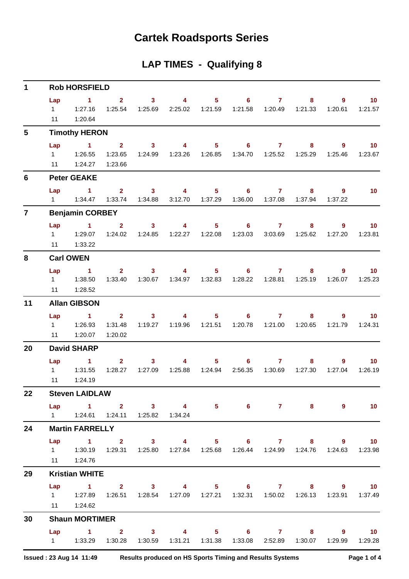## **Cartek Roadsports Series**

### **LAP TIMES - Qualifying 8**

| 1               |                             | <b>Rob HORSFIELD</b>                                                                                                                              |                                      |                                    |                                    |                           |                                       |                         |                                                           |                        |                            |
|-----------------|-----------------------------|---------------------------------------------------------------------------------------------------------------------------------------------------|--------------------------------------|------------------------------------|------------------------------------|---------------------------|---------------------------------------|-------------------------|-----------------------------------------------------------|------------------------|----------------------------|
|                 | Lap<br>$1 \quad \Box$<br>11 | $\sim$ 1<br>1:27.16<br>1:20.64                                                                                                                    | $2^{\circ}$<br>1:25.54               | 3 <sup>7</sup><br>1:25.69          | $\overline{4}$<br>2:25.02          | 1:21.59                   | $5 \t\t 6 \t\t 7$<br>1:21.58          | 1:20.49                 | 8<br>1:21.33                                              | 9<br>1:20.61           | 10 <sub>1</sub><br>1:21.57 |
| $5\phantom{.0}$ |                             | <b>Timothy HERON</b>                                                                                                                              |                                      |                                    |                                    |                           |                                       |                         |                                                           |                        |                            |
|                 | Lap<br>$1 \quad \Box$       | $\mathbf{1}$<br>1:26.55<br>11   1:24.27                                                                                                           | 2 <sup>7</sup><br>1:23.65<br>1:23.66 | 3 <sup>7</sup><br>1:24.99          | $\overline{4}$<br>1:23.26  1:26.85 | 5 <sup>5</sup>            | $6^{\circ}$                           | $\mathbf{7}$            | 8<br>1:25.29                                              | $9^{\circ}$<br>1:25.46 | 10 <sup>°</sup><br>1:23.67 |
| 6               |                             | <b>Peter GEAKE</b>                                                                                                                                |                                      |                                    |                                    |                           |                                       |                         |                                                           |                        |                            |
|                 | Lap                         | $\sim$ $\sim$ 1                                                                                                                                   | $2^{\circ}$<br>1:33.74               | $\overline{\mathbf{3}}$<br>1:34.88 | $\overline{4}$<br>3:12.70          | $5 -$<br>1:37.29          | $\overline{\phantom{a}}$ 6<br>1:36.00 | $\mathbf{7}$<br>1:37.08 | 8<br>1:37.94                                              | 9<br>1:37.22           | 10 <sup>°</sup>            |
| $\overline{7}$  |                             | <b>Benjamin CORBEY</b>                                                                                                                            |                                      |                                    |                                    |                           |                                       |                         |                                                           |                        |                            |
|                 | $1 \quad \Box$<br>11        | $Lap$ 1<br>1:29.07<br>1:33.22                                                                                                                     | 2 <sup>1</sup><br>1:24.02            | 3 <sup>1</sup><br>1:24.85          | 4<br>1:22.27                       | 5 <sup>1</sup><br>1:22.08 | $\overline{\phantom{a}}$ 6<br>1:23.03 | $\mathbf{7}$<br>3:03.69 | 8<br>1:25.62                                              | $9^{\circ}$<br>1:27.20 | 10<br>1:23.81              |
| 8               |                             | <b>Carl OWEN</b>                                                                                                                                  |                                      |                                    |                                    |                           |                                       |                         |                                                           |                        |                            |
|                 | Lap<br>11                   | $\sim$ 1<br>1:28.52                                                                                                                               | 2 <sup>7</sup><br>1:33.40            | 3 <sup>7</sup>                     | $\overline{4}$                     | $5 -$                     | $\overline{\phantom{0}}$ 6            | $\overline{7}$          | 8<br>1:30.67  1:34.97  1:32.83  1:28.22  1:28.81  1:25.19 | $9^{\circ}$<br>1:26.07 | 10 <sup>°</sup><br>1:25.23 |
| 11              |                             | <b>Allan GIBSON</b>                                                                                                                               |                                      |                                    |                                    |                           |                                       |                         |                                                           |                        |                            |
|                 | Lap<br>$1 \quad$<br>11      | $\sim$ 1<br>1:26.93<br>1:20.07                                                                                                                    | 2 <sup>7</sup><br>1:31.48<br>1:20.02 | 3 <sup>7</sup>                     | $\overline{4}$                     |                           | $5^{\circ}$<br>6                      | $\mathbf{7}$            | 8<br>1:20.65                                              | $9^{\circ}$<br>1:21.79 | 10<br>1:24.31              |
| 20              |                             | <b>David SHARP</b>                                                                                                                                |                                      |                                    |                                    |                           |                                       |                         |                                                           |                        |                            |
|                 | Lap<br>$1 \quad \Box$<br>11 | $\sim$ 1<br>1:31.55<br>1:24.19                                                                                                                    | $\overline{2}$                       | 3 <sup>1</sup>                     | $\overline{4}$                     | 5 <sub>1</sub>            | $6^{\circ}$<br>2:56.35                | $\mathbf{7}$<br>1:30.69 | 8<br>1:27.30                                              | 9<br>1:27.04           | 10 <sup>°</sup><br>1:26.19 |
| 22              |                             | <b>Steven LAIDLAW</b>                                                                                                                             |                                      |                                    |                                    |                           |                                       |                         |                                                           |                        |                            |
|                 |                             | Lap 1 2 3 4 5 6 7 8<br>1   1:24.61   1:24.11   1:25.82   1:34.24                                                                                  |                                      |                                    |                                    |                           |                                       |                         |                                                           | $9^{\circ}$            | $\sim$ 10                  |
| 24              |                             | <b>Martin FARRELLY</b>                                                                                                                            |                                      |                                    |                                    |                           |                                       |                         |                                                           |                        |                            |
|                 |                             | Lap 1 2 3 4 5 6 7 8 9 10<br>1   1:30.19   1:29.31   1:25.80   1:27.84   1:25.68   1:26.44   1:24.99   1:24.76   1:24.63   1:23.98<br>11  1:24.76  |                                      |                                    |                                    |                           |                                       |                         |                                                           |                        |                            |
| 29              |                             | <b>Kristian WHITE</b>                                                                                                                             |                                      |                                    |                                    |                           |                                       |                         |                                                           |                        |                            |
|                 |                             | Lap 1 2 3 4 5 6 7 8 9 10<br>1   1:27.89   1:26.51   1:28.54   1:27.09   1:27.21   1:32.31   1:50.02   1:26.13   1:23.91   1:37.49<br>11   1:24.62 |                                      |                                    |                                    |                           |                                       |                         |                                                           |                        |                            |
| 30              |                             | <b>Shaun MORTIMER</b>                                                                                                                             |                                      |                                    |                                    |                           |                                       |                         |                                                           |                        |                            |
|                 |                             | Lap 1 2 3 4 5 6 7 8 9 10<br>1   1:33.29   1:30.28   1:30.59   1:31.21   1:31.38   1:33.08   2:52.89   1:30.07   1:29.99   1:29.28                 |                                      |                                    |                                    |                           |                                       |                         |                                                           |                        |                            |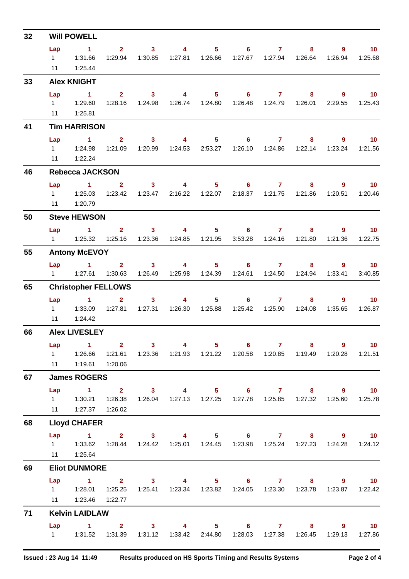| 32 |                             | <b>Will POWELL</b>                                                                                                      |                                                        |                                             |                                            |                                    |                                                                        |                                    |              |                           |                              |
|----|-----------------------------|-------------------------------------------------------------------------------------------------------------------------|--------------------------------------------------------|---------------------------------------------|--------------------------------------------|------------------------------------|------------------------------------------------------------------------|------------------------------------|--------------|---------------------------|------------------------------|
|    | Lap<br>11                   | $\sim$ 1<br>1 1:31.66<br>1:25.44                                                                                        | $\overline{2}$<br>1:29.94                              | $\overline{\mathbf{3}}$<br>1:30.85          | $\overline{\mathbf{4}}$                    | 5 <sub>1</sub><br>1:27.81  1:26.66 |                                                                        | $6 \qquad \qquad 7$                | 8<br>1:26.64 | $9^{\circ}$<br>1:26.94    | 10 <sup>°</sup><br>1:25.68   |
| 33 |                             | <b>Alex KNIGHT</b>                                                                                                      |                                                        |                                             |                                            |                                    |                                                                        |                                    |              |                           |                              |
|    | Lap                         | $\sim$ 1<br>11  1:25.81                                                                                                 | $\overline{2}$                                         | $\overline{\mathbf{3}}$<br>1:28.16  1:24.98 | $\overline{\mathbf{4}}$                    | $5 -$<br>1:26.74  1:24.80          | $\overline{\phantom{a}}$ 6                                             | $\overline{7}$<br>1:26.48  1:24.79 | 8<br>1:26.01 | $\overline{9}$<br>2:29.55 | $\overline{10}$<br>1:25.43   |
| 41 |                             | <b>Tim HARRISON</b>                                                                                                     |                                                        |                                             |                                            |                                    |                                                                        |                                    |              |                           |                              |
|    | Lap<br>11                   | $\sim$ 1<br>$1 \quad 1:24.98$<br>1:22.24                                                                                | $\overline{2}$<br>1:21.09                              | $\overline{\mathbf{3}}$<br>1:20.99          | $\sim$ 4 and $\sim$ 4                      | 1:24.53 2:53.27                    | $5 \t\t 6 \t\t 7$                                                      |                                    | 8<br>1:22.14 | $9^{\circ}$<br>1:23.24    | 10 <sub>1</sub><br>1:21.56   |
| 46 |                             | <b>Rebecca JACKSON</b>                                                                                                  |                                                        |                                             |                                            |                                    |                                                                        |                                    |              |                           |                              |
|    | Lap                         | $\sim$ 1<br>$1 \t 1:25.03$<br>11  1:20.79                                                                               | 2 <sup>1</sup><br>1:23.42                              | 3 <sup>7</sup>                              | $\overline{\mathbf{A}}$<br>1:23.47 2:16.22 | 1:22.07                            | $5 - 5$                                                                | $6 \overline{7}$                   | 8<br>1:21.86 | $\overline{9}$<br>1:20.51 | $\overline{10}$<br>1:20.46   |
| 50 |                             | <b>Steve HEWSON</b>                                                                                                     |                                                        |                                             |                                            |                                    |                                                                        |                                    |              |                           |                              |
|    |                             | Lap 1                                                                                                                   |                                                        | 1:23.36                                     | $2 \qquad 3 \qquad 4$<br>1:24.85           | 1:21.95                            | $5 \t\t 6 \t\t 7 \t\t 8$<br>3:53.28                                    | 1:24.16                            | 1:21.80      | $9^{\circ}$<br>1:21.36    | $\sim$ 10<br>1:22.75         |
| 55 |                             | <b>Antony McEVOY</b>                                                                                                    |                                                        |                                             |                                            |                                    |                                                                        |                                    |              |                           |                              |
|    | $1 \quad \Box$              | $Lap$ 1<br>1:27.61                                                                                                      | 1:30.63                                                | $2 \t 3$<br>1:26.49                         |                                            | $\overline{4}$ and $\overline{4}$  | $5 \t\t 6 \t\t 7$                                                      | 1:24.61  1:24.50                   | 1:24.94      | $8 - 1$<br>9<br>1:33.41   | 10 <sup>°</sup><br>3:40.85   |
| 65 |                             | <b>Christopher FELLOWS</b>                                                                                              |                                                        |                                             |                                            |                                    |                                                                        |                                    |              |                           |                              |
|    | Lap<br>$1 \quad$<br>11      | $\sim$ $\sim$ 1<br>1:33.09<br>1:24.42                                                                                   | $\overline{2}$<br>1:27.81                              | 3 <sup>1</sup><br>1:27.31                   | $\overline{4}$                             | 5 <sub>1</sub><br>1:26.30  1:25.88 | $6 -$                                                                  | $\mathbf{7}$<br>1:25.42  1:25.90   | 8<br>1:24.08 | $9^{\circ}$<br>1:35.65    | 10 <sup>°</sup><br>1:26.87   |
| 66 |                             | <b>Alex LIVESLEY</b>                                                                                                    |                                                        |                                             |                                            |                                    |                                                                        |                                    |              |                           |                              |
|    | Lap<br>$1 \quad \Box$<br>11 | $\sim$ 1<br>1:26.66                                                                                                     | $\overline{\mathbf{2}}$<br>1:21.61<br>1:19.61  1:20.06 | $\overline{\mathbf{3}}$<br>1:23.36          | $\overline{\mathbf{4}}$                    | $5 -$                              | $\overline{\phantom{0}}$ 6                                             | $\overline{7}$                     | 8<br>1:19.49 | $9^{\circ}$<br>1:20.28    | $\overline{10}$<br>1:21.51   |
| 67 |                             | <b>James ROGERS</b>                                                                                                     |                                                        |                                             |                                            |                                    |                                                                        |                                    |              |                           |                              |
|    | Lap<br>$11 -$               | 1 2 3 4 5 6 7 8 9                                                                                                       | 1:27.37  1:26.02                                       |                                             |                                            |                                    | 1:26.04  1:27.13  1:27.25  1:27.78  1:25.85  1:27.32                   |                                    |              | 1:25.60                   | $\blacksquare$ 10<br>1:25.78 |
| 68 |                             | <b>Lloyd CHAFER</b>                                                                                                     |                                                        |                                             |                                            |                                    |                                                                        |                                    |              |                           |                              |
|    |                             | Lap 1 2 3 4 5 6 7 8<br>1   1:33.62   1:28.44   1:24.42   1:25.01   1:24.45   1:23.98   1:25.24   1:27.23<br>11  1:25.64 |                                                        |                                             |                                            |                                    |                                                                        |                                    |              | $9 \t 10$                 | 1:24.28  1:24.12             |
| 69 |                             | <b>Eliot DUNMORE</b>                                                                                                    |                                                        |                                             |                                            |                                    |                                                                        |                                    |              |                           |                              |
|    | Lap<br>$11 -$               | 1 2 3 4 5 6 7 8 9 10                                                                                                    | 1:23.46 1:22.77                                        |                                             |                                            |                                    | 1:25.41  1:23.34  1:23.82  1:24.05  1:23.30  1:23.78  1:23.87  1:22.42 |                                    |              |                           |                              |
| 71 |                             | <b>Kelvin LAIDLAW</b>                                                                                                   |                                                        |                                             |                                            |                                    |                                                                        |                                    |              |                           |                              |
|    |                             | Lap 1                                                                                                                   |                                                        |                                             |                                            |                                    | 2 3 4 5 6 7 8<br>1:31.12  1:33.42  2:44.80  1:28.03  1:27.38  1:26.45  |                                    |              | $9^{\circ}$<br>1:29.13    | $\overline{10}$<br>1:27.86   |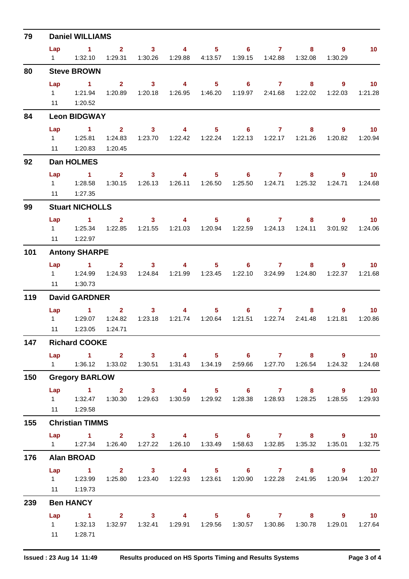| $1 \qquad 2 \qquad 3 \qquad 4 \qquad 5 \qquad 6 \qquad 7$<br>$8$ 9<br>Lap<br>10 <sub>1</sub><br>1   1:32.10   1:29.31   1:30.26   1:29.88   4:13.57   1:39.15   1:42.88   1:32.08<br>1:30.29<br>80<br><b>Steve BROWN</b><br>Lap 1 2 3 4 5 6 7 8 9<br>$\overline{10}$<br>1:26.95  1:46.20  1:19.97  2:41.68  1:22.02<br>1:20.89  1:20.18<br>1:22.03<br>1:21.28<br>11  1:20.52<br>84<br><b>Leon BIDGWAY</b><br>1 2 3 4 5 6 7 8<br>Lap<br>$9^{\circ}$<br>$\overline{10}$<br>1:24.83<br>1:23.70  1:22.42  1:22.24  1:22.13  1:22.17  1:21.26  1:20.82  1:20.94<br>11   1:20.83<br>1:20.45<br>92<br>Dan HOLMES<br>Lap 1 2 3 4 5 6 7 8 9 10<br>1:30.15  1:26.13  1:26.11  1:26.50  1:25.50  1:24.71  1:25.32  1:24.71<br>1:24.68<br>11 1:27.35<br>99<br><b>Stuart NICHOLLS</b><br>Lap 1 2 3 4 5 6 7 8 9 10<br>1:22.85   1:21.55   1:21.03   1:20.94   1:22.59   1:24.13   1:24.11<br>3:01.92<br>1:24.06<br>1:22.97<br>11<br>101<br><b>Antony SHARPE</b><br>Lap 1 2 3 4 5 6 7 8<br>$9$ 10<br>1:24.93  1:24.84  1:21.99  1:23.45  1:22.10  3:24.99  1:24.80<br>1:22.37<br>1:21.68<br>1:30.73<br>11<br>119<br><b>David GARDNER</b><br>Lap 1 2 3 4<br>$5 \t\t 6 \t\t 7$<br>$8 - 1$<br>$9 \t 10$<br>1:21.51  1:22.74  2:41.48<br>1:23.18<br>1:21.81<br>1:20.86<br>1:23.05<br>1:24.71<br>11<br>147<br><b>Richard COOKE</b><br>1 2 3 4 5 6 7 8 9 10<br>Lap<br>1    1:36.12    1:33.02    1:30.51    1:31.43    1:34.19    2:59.66    1:27.70    1:26.54    1:24.32    1:24.68<br>150<br><b>Gregory BARLOW</b><br>Lap 1 2 3 4 5 6 7 8 9 10<br>1   1:32.47   1:30.30   1:29.63   1:30.59   1:29.92   1:28.38   1:28.93   1:28.25   1:28.55   1:29.93<br>11  1:29.58<br>155<br><b>Christian TIMMS</b><br>Lap 1 2 3 4 5 6 7 8 9 10<br>1   1:27.34   1:26.40   1:27.22   1:26.10   1:33.49   1:58.63   1:32.85   1:35.32   1:35.01   1:32.75<br>176<br><b>Alan BROAD</b><br>1 2 3 4 5 6 7 8 9 10<br>Lap<br>1    1:23.99    1:25.80    1:23.40    1:22.93    1:23.61    1:20.90    1:22.28    2:41.95    1:20.94    1:20.27<br>11 1:19.73<br>239<br><b>Ben HANCY</b><br>1 2 3 4 5 6 7 8 9 10<br>Lap<br>1:32.97  1:32.41  1:29.91  1:29.56  1:30.57  1:30.86  1:30.78  1:29.01  1:27.64<br>$1 \t 1:32.13$<br>11   1:28.71 | 79 | <b>Daniel WILLIAMS</b> |  |  |  |  |  |
|-------------------------------------------------------------------------------------------------------------------------------------------------------------------------------------------------------------------------------------------------------------------------------------------------------------------------------------------------------------------------------------------------------------------------------------------------------------------------------------------------------------------------------------------------------------------------------------------------------------------------------------------------------------------------------------------------------------------------------------------------------------------------------------------------------------------------------------------------------------------------------------------------------------------------------------------------------------------------------------------------------------------------------------------------------------------------------------------------------------------------------------------------------------------------------------------------------------------------------------------------------------------------------------------------------------------------------------------------------------------------------------------------------------------------------------------------------------------------------------------------------------------------------------------------------------------------------------------------------------------------------------------------------------------------------------------------------------------------------------------------------------------------------------------------------------------------------------------------------------------------------------------------------------------------------------------------------------------------------------------------------------------------------------------------------------------------------------------------------------------------------------------------------------------------------------------------------|----|------------------------|--|--|--|--|--|
|                                                                                                                                                                                                                                                                                                                                                                                                                                                                                                                                                                                                                                                                                                                                                                                                                                                                                                                                                                                                                                                                                                                                                                                                                                                                                                                                                                                                                                                                                                                                                                                                                                                                                                                                                                                                                                                                                                                                                                                                                                                                                                                                                                                                       |    |                        |  |  |  |  |  |
|                                                                                                                                                                                                                                                                                                                                                                                                                                                                                                                                                                                                                                                                                                                                                                                                                                                                                                                                                                                                                                                                                                                                                                                                                                                                                                                                                                                                                                                                                                                                                                                                                                                                                                                                                                                                                                                                                                                                                                                                                                                                                                                                                                                                       |    |                        |  |  |  |  |  |
|                                                                                                                                                                                                                                                                                                                                                                                                                                                                                                                                                                                                                                                                                                                                                                                                                                                                                                                                                                                                                                                                                                                                                                                                                                                                                                                                                                                                                                                                                                                                                                                                                                                                                                                                                                                                                                                                                                                                                                                                                                                                                                                                                                                                       |    |                        |  |  |  |  |  |
|                                                                                                                                                                                                                                                                                                                                                                                                                                                                                                                                                                                                                                                                                                                                                                                                                                                                                                                                                                                                                                                                                                                                                                                                                                                                                                                                                                                                                                                                                                                                                                                                                                                                                                                                                                                                                                                                                                                                                                                                                                                                                                                                                                                                       |    |                        |  |  |  |  |  |
|                                                                                                                                                                                                                                                                                                                                                                                                                                                                                                                                                                                                                                                                                                                                                                                                                                                                                                                                                                                                                                                                                                                                                                                                                                                                                                                                                                                                                                                                                                                                                                                                                                                                                                                                                                                                                                                                                                                                                                                                                                                                                                                                                                                                       |    |                        |  |  |  |  |  |
|                                                                                                                                                                                                                                                                                                                                                                                                                                                                                                                                                                                                                                                                                                                                                                                                                                                                                                                                                                                                                                                                                                                                                                                                                                                                                                                                                                                                                                                                                                                                                                                                                                                                                                                                                                                                                                                                                                                                                                                                                                                                                                                                                                                                       |    |                        |  |  |  |  |  |
|                                                                                                                                                                                                                                                                                                                                                                                                                                                                                                                                                                                                                                                                                                                                                                                                                                                                                                                                                                                                                                                                                                                                                                                                                                                                                                                                                                                                                                                                                                                                                                                                                                                                                                                                                                                                                                                                                                                                                                                                                                                                                                                                                                                                       |    |                        |  |  |  |  |  |
|                                                                                                                                                                                                                                                                                                                                                                                                                                                                                                                                                                                                                                                                                                                                                                                                                                                                                                                                                                                                                                                                                                                                                                                                                                                                                                                                                                                                                                                                                                                                                                                                                                                                                                                                                                                                                                                                                                                                                                                                                                                                                                                                                                                                       |    |                        |  |  |  |  |  |
|                                                                                                                                                                                                                                                                                                                                                                                                                                                                                                                                                                                                                                                                                                                                                                                                                                                                                                                                                                                                                                                                                                                                                                                                                                                                                                                                                                                                                                                                                                                                                                                                                                                                                                                                                                                                                                                                                                                                                                                                                                                                                                                                                                                                       |    |                        |  |  |  |  |  |
|                                                                                                                                                                                                                                                                                                                                                                                                                                                                                                                                                                                                                                                                                                                                                                                                                                                                                                                                                                                                                                                                                                                                                                                                                                                                                                                                                                                                                                                                                                                                                                                                                                                                                                                                                                                                                                                                                                                                                                                                                                                                                                                                                                                                       |    |                        |  |  |  |  |  |
|                                                                                                                                                                                                                                                                                                                                                                                                                                                                                                                                                                                                                                                                                                                                                                                                                                                                                                                                                                                                                                                                                                                                                                                                                                                                                                                                                                                                                                                                                                                                                                                                                                                                                                                                                                                                                                                                                                                                                                                                                                                                                                                                                                                                       |    |                        |  |  |  |  |  |
|                                                                                                                                                                                                                                                                                                                                                                                                                                                                                                                                                                                                                                                                                                                                                                                                                                                                                                                                                                                                                                                                                                                                                                                                                                                                                                                                                                                                                                                                                                                                                                                                                                                                                                                                                                                                                                                                                                                                                                                                                                                                                                                                                                                                       |    |                        |  |  |  |  |  |
|                                                                                                                                                                                                                                                                                                                                                                                                                                                                                                                                                                                                                                                                                                                                                                                                                                                                                                                                                                                                                                                                                                                                                                                                                                                                                                                                                                                                                                                                                                                                                                                                                                                                                                                                                                                                                                                                                                                                                                                                                                                                                                                                                                                                       |    |                        |  |  |  |  |  |
|                                                                                                                                                                                                                                                                                                                                                                                                                                                                                                                                                                                                                                                                                                                                                                                                                                                                                                                                                                                                                                                                                                                                                                                                                                                                                                                                                                                                                                                                                                                                                                                                                                                                                                                                                                                                                                                                                                                                                                                                                                                                                                                                                                                                       |    |                        |  |  |  |  |  |
|                                                                                                                                                                                                                                                                                                                                                                                                                                                                                                                                                                                                                                                                                                                                                                                                                                                                                                                                                                                                                                                                                                                                                                                                                                                                                                                                                                                                                                                                                                                                                                                                                                                                                                                                                                                                                                                                                                                                                                                                                                                                                                                                                                                                       |    |                        |  |  |  |  |  |
|                                                                                                                                                                                                                                                                                                                                                                                                                                                                                                                                                                                                                                                                                                                                                                                                                                                                                                                                                                                                                                                                                                                                                                                                                                                                                                                                                                                                                                                                                                                                                                                                                                                                                                                                                                                                                                                                                                                                                                                                                                                                                                                                                                                                       |    |                        |  |  |  |  |  |
|                                                                                                                                                                                                                                                                                                                                                                                                                                                                                                                                                                                                                                                                                                                                                                                                                                                                                                                                                                                                                                                                                                                                                                                                                                                                                                                                                                                                                                                                                                                                                                                                                                                                                                                                                                                                                                                                                                                                                                                                                                                                                                                                                                                                       |    |                        |  |  |  |  |  |
|                                                                                                                                                                                                                                                                                                                                                                                                                                                                                                                                                                                                                                                                                                                                                                                                                                                                                                                                                                                                                                                                                                                                                                                                                                                                                                                                                                                                                                                                                                                                                                                                                                                                                                                                                                                                                                                                                                                                                                                                                                                                                                                                                                                                       |    |                        |  |  |  |  |  |
|                                                                                                                                                                                                                                                                                                                                                                                                                                                                                                                                                                                                                                                                                                                                                                                                                                                                                                                                                                                                                                                                                                                                                                                                                                                                                                                                                                                                                                                                                                                                                                                                                                                                                                                                                                                                                                                                                                                                                                                                                                                                                                                                                                                                       |    |                        |  |  |  |  |  |
|                                                                                                                                                                                                                                                                                                                                                                                                                                                                                                                                                                                                                                                                                                                                                                                                                                                                                                                                                                                                                                                                                                                                                                                                                                                                                                                                                                                                                                                                                                                                                                                                                                                                                                                                                                                                                                                                                                                                                                                                                                                                                                                                                                                                       |    |                        |  |  |  |  |  |
|                                                                                                                                                                                                                                                                                                                                                                                                                                                                                                                                                                                                                                                                                                                                                                                                                                                                                                                                                                                                                                                                                                                                                                                                                                                                                                                                                                                                                                                                                                                                                                                                                                                                                                                                                                                                                                                                                                                                                                                                                                                                                                                                                                                                       |    |                        |  |  |  |  |  |
|                                                                                                                                                                                                                                                                                                                                                                                                                                                                                                                                                                                                                                                                                                                                                                                                                                                                                                                                                                                                                                                                                                                                                                                                                                                                                                                                                                                                                                                                                                                                                                                                                                                                                                                                                                                                                                                                                                                                                                                                                                                                                                                                                                                                       |    |                        |  |  |  |  |  |
|                                                                                                                                                                                                                                                                                                                                                                                                                                                                                                                                                                                                                                                                                                                                                                                                                                                                                                                                                                                                                                                                                                                                                                                                                                                                                                                                                                                                                                                                                                                                                                                                                                                                                                                                                                                                                                                                                                                                                                                                                                                                                                                                                                                                       |    |                        |  |  |  |  |  |
|                                                                                                                                                                                                                                                                                                                                                                                                                                                                                                                                                                                                                                                                                                                                                                                                                                                                                                                                                                                                                                                                                                                                                                                                                                                                                                                                                                                                                                                                                                                                                                                                                                                                                                                                                                                                                                                                                                                                                                                                                                                                                                                                                                                                       |    |                        |  |  |  |  |  |
|                                                                                                                                                                                                                                                                                                                                                                                                                                                                                                                                                                                                                                                                                                                                                                                                                                                                                                                                                                                                                                                                                                                                                                                                                                                                                                                                                                                                                                                                                                                                                                                                                                                                                                                                                                                                                                                                                                                                                                                                                                                                                                                                                                                                       |    |                        |  |  |  |  |  |
|                                                                                                                                                                                                                                                                                                                                                                                                                                                                                                                                                                                                                                                                                                                                                                                                                                                                                                                                                                                                                                                                                                                                                                                                                                                                                                                                                                                                                                                                                                                                                                                                                                                                                                                                                                                                                                                                                                                                                                                                                                                                                                                                                                                                       |    |                        |  |  |  |  |  |
|                                                                                                                                                                                                                                                                                                                                                                                                                                                                                                                                                                                                                                                                                                                                                                                                                                                                                                                                                                                                                                                                                                                                                                                                                                                                                                                                                                                                                                                                                                                                                                                                                                                                                                                                                                                                                                                                                                                                                                                                                                                                                                                                                                                                       |    |                        |  |  |  |  |  |
|                                                                                                                                                                                                                                                                                                                                                                                                                                                                                                                                                                                                                                                                                                                                                                                                                                                                                                                                                                                                                                                                                                                                                                                                                                                                                                                                                                                                                                                                                                                                                                                                                                                                                                                                                                                                                                                                                                                                                                                                                                                                                                                                                                                                       |    |                        |  |  |  |  |  |
|                                                                                                                                                                                                                                                                                                                                                                                                                                                                                                                                                                                                                                                                                                                                                                                                                                                                                                                                                                                                                                                                                                                                                                                                                                                                                                                                                                                                                                                                                                                                                                                                                                                                                                                                                                                                                                                                                                                                                                                                                                                                                                                                                                                                       |    |                        |  |  |  |  |  |
|                                                                                                                                                                                                                                                                                                                                                                                                                                                                                                                                                                                                                                                                                                                                                                                                                                                                                                                                                                                                                                                                                                                                                                                                                                                                                                                                                                                                                                                                                                                                                                                                                                                                                                                                                                                                                                                                                                                                                                                                                                                                                                                                                                                                       |    |                        |  |  |  |  |  |
|                                                                                                                                                                                                                                                                                                                                                                                                                                                                                                                                                                                                                                                                                                                                                                                                                                                                                                                                                                                                                                                                                                                                                                                                                                                                                                                                                                                                                                                                                                                                                                                                                                                                                                                                                                                                                                                                                                                                                                                                                                                                                                                                                                                                       |    |                        |  |  |  |  |  |
|                                                                                                                                                                                                                                                                                                                                                                                                                                                                                                                                                                                                                                                                                                                                                                                                                                                                                                                                                                                                                                                                                                                                                                                                                                                                                                                                                                                                                                                                                                                                                                                                                                                                                                                                                                                                                                                                                                                                                                                                                                                                                                                                                                                                       |    |                        |  |  |  |  |  |
|                                                                                                                                                                                                                                                                                                                                                                                                                                                                                                                                                                                                                                                                                                                                                                                                                                                                                                                                                                                                                                                                                                                                                                                                                                                                                                                                                                                                                                                                                                                                                                                                                                                                                                                                                                                                                                                                                                                                                                                                                                                                                                                                                                                                       |    |                        |  |  |  |  |  |
|                                                                                                                                                                                                                                                                                                                                                                                                                                                                                                                                                                                                                                                                                                                                                                                                                                                                                                                                                                                                                                                                                                                                                                                                                                                                                                                                                                                                                                                                                                                                                                                                                                                                                                                                                                                                                                                                                                                                                                                                                                                                                                                                                                                                       |    |                        |  |  |  |  |  |
|                                                                                                                                                                                                                                                                                                                                                                                                                                                                                                                                                                                                                                                                                                                                                                                                                                                                                                                                                                                                                                                                                                                                                                                                                                                                                                                                                                                                                                                                                                                                                                                                                                                                                                                                                                                                                                                                                                                                                                                                                                                                                                                                                                                                       |    |                        |  |  |  |  |  |
|                                                                                                                                                                                                                                                                                                                                                                                                                                                                                                                                                                                                                                                                                                                                                                                                                                                                                                                                                                                                                                                                                                                                                                                                                                                                                                                                                                                                                                                                                                                                                                                                                                                                                                                                                                                                                                                                                                                                                                                                                                                                                                                                                                                                       |    |                        |  |  |  |  |  |
|                                                                                                                                                                                                                                                                                                                                                                                                                                                                                                                                                                                                                                                                                                                                                                                                                                                                                                                                                                                                                                                                                                                                                                                                                                                                                                                                                                                                                                                                                                                                                                                                                                                                                                                                                                                                                                                                                                                                                                                                                                                                                                                                                                                                       |    |                        |  |  |  |  |  |
|                                                                                                                                                                                                                                                                                                                                                                                                                                                                                                                                                                                                                                                                                                                                                                                                                                                                                                                                                                                                                                                                                                                                                                                                                                                                                                                                                                                                                                                                                                                                                                                                                                                                                                                                                                                                                                                                                                                                                                                                                                                                                                                                                                                                       |    |                        |  |  |  |  |  |
|                                                                                                                                                                                                                                                                                                                                                                                                                                                                                                                                                                                                                                                                                                                                                                                                                                                                                                                                                                                                                                                                                                                                                                                                                                                                                                                                                                                                                                                                                                                                                                                                                                                                                                                                                                                                                                                                                                                                                                                                                                                                                                                                                                                                       |    |                        |  |  |  |  |  |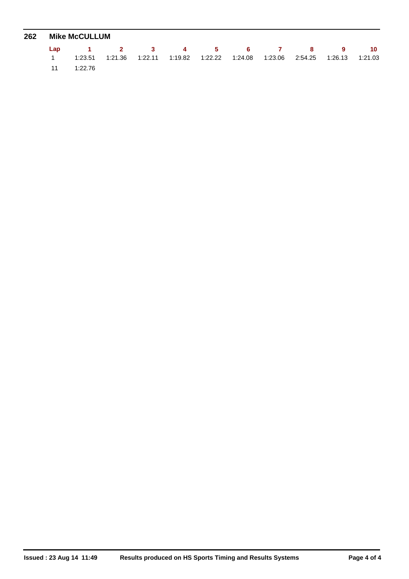| 262 | <b>Mike McCULLUM</b>                                                            |  |  |  |  |  |
|-----|---------------------------------------------------------------------------------|--|--|--|--|--|
|     | Lap 1 2 3 4 5 6 7 8 9 10                                                        |  |  |  |  |  |
|     | 1:23.51 1:21.36 1:22.11 1:19.82 1:22.22 1:24.08 1:23.06 2:54.25 1:26.13 1:21.03 |  |  |  |  |  |
|     | 11 1:22.76                                                                      |  |  |  |  |  |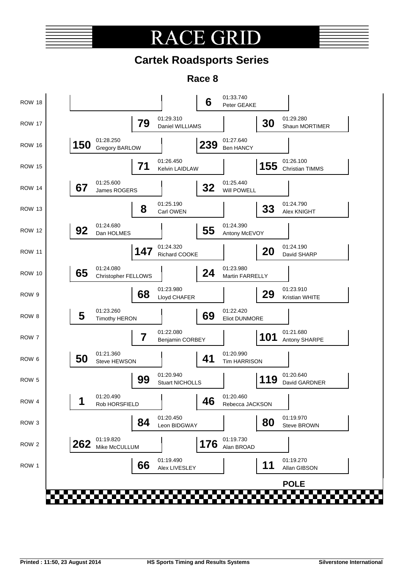### **CE GR** RА

### **Cartek Roadsports Series**

**Race 8**

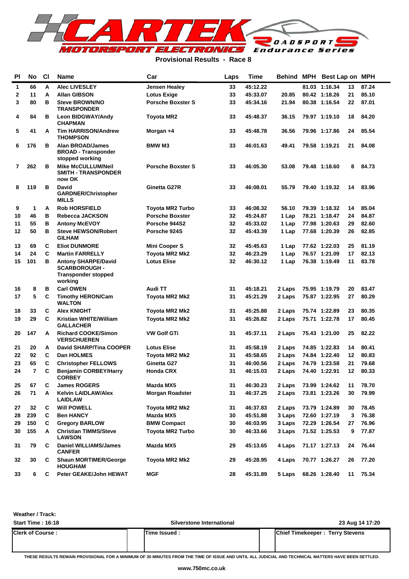

### **Provisional Results - Race 8**

| PI | No             | <b>CI</b> | <b>Name</b>                                                                     | Car                      | Laps | Time     | <b>Behind</b> | MPH | Best Lap on MPH |    |       |
|----|----------------|-----------|---------------------------------------------------------------------------------|--------------------------|------|----------|---------------|-----|-----------------|----|-------|
| 1  | 66             | A         | <b>Alec LIVESLEY</b>                                                            | <b>Jensen Healey</b>     | 33   | 45:12.22 |               |     | 81.03 1:16.34   | 13 | 87.24 |
| 2  | 11             | A         | <b>Allan GIBSON</b>                                                             | <b>Lotus Exige</b>       | 33   | 45:33.07 | 20.85         |     | 80.42 1:18.26   | 21 | 85.10 |
| 3  | 80             | в         | <b>Steve BROWN/NO</b><br><b>TRANSPONDER</b>                                     | <b>Porsche Boxster S</b> | 33   | 45:34.16 | 21.94         |     | 80.38 1:16.54   | 22 | 87.01 |
| 4  | 84             | в         | <b>Leon BIDGWAY/Andy</b><br><b>CHAPMAN</b>                                      | <b>Toyota MR2</b>        | 33   | 45:48.37 | 36.15         |     | 79.97 1:19.10   | 18 | 84.20 |
| 5  | 41             | A         | <b>Tim HARRISON/Andrew</b><br><b>THOMPSON</b>                                   | Morgan +4                | 33   | 45:48.78 | 36.56         |     | 79.96 1:17.86   | 24 | 85.54 |
| 6  | 176            | в         | <b>Alan BROAD/James</b><br><b>BROAD - Transponder</b><br>stopped working        | <b>BMW M3</b>            | 33   | 46:01.63 | 49.41         |     | 79.58 1:19.21   | 21 | 84.08 |
| 7  | 262            | в         | <b>Mike McCULLUM/Neil</b><br><b>SMITH - TRANSPONDER</b><br>now OK               | <b>Porsche Boxster S</b> | 33   | 46:05.30 | 53.08         |     | 79.48 1:18.60   | 8  | 84.73 |
| 8  | 119            | в         | <b>David</b><br><b>GARDNER/Christopher</b><br><b>MILLS</b>                      | Ginetta G27R             | 33   | 46:08.01 | 55.79         |     | 79.40 1:19.32   | 14 | 83.96 |
| 9  | 1              | A         | <b>Rob HORSFIELD</b>                                                            | <b>Toyota MR2 Turbo</b>  | 33   | 46:08.32 | 56.10         |     | 79.39 1:18.32   | 14 | 85.04 |
| 10 | 46             | в         | Rebecca JACKSON                                                                 | <b>Porsche Boxster</b>   | 32   | 45:24.87 | 1 Lap         |     | 78.21 1:18.47   | 24 | 84.87 |
| 11 | 55             | в         | <b>Antony McEVOY</b>                                                            | Porsche 944S2            | 32   | 45:33.02 | 1 Lap         |     | 77.98 1:20.63   | 29 | 82.60 |
| 12 | 50             | в         | <b>Steve HEWSON/Robert</b><br><b>GILHAM</b>                                     | Porsche 924S             | 32   | 45:43.39 | 1 Lap         |     | 77.68 1:20.39   | 26 | 82.85 |
| 13 | 69             | C         | <b>Eliot DUNMORE</b>                                                            | <b>Mini Cooper S</b>     | 32   | 45:45.63 | 1 Lap         |     | 77.62 1:22.03   | 25 | 81.19 |
| 14 | 24             | C         | <b>Martin FARRELLY</b>                                                          | Toyota MR2 Mk2           | 32   | 46:23.29 | 1 Lap         |     | 76.57 1:21.09   | 17 | 82.13 |
| 15 | 101            | в         | <b>Antony SHARPE/David</b><br><b>SCARBOROUGH-</b><br><b>Transponder stopped</b> | <b>Lotus Elise</b>       | 32   | 46:30.12 | 1 Lap         |     | 76.38 1:19.49   | 11 | 83.78 |
| 16 | 8              | в         | working<br><b>Carl OWEN</b>                                                     | Audi TT                  | 31   | 45:18.21 | 2 Laps        |     | 75.95 1:19.79   | 20 | 83.47 |
| 17 | 5              | C         | <b>Timothy HERON/Cam</b>                                                        | Toyota MR2 Mk2           | 31   | 45:21.29 | 2 Laps        |     | 75.87 1:22.95   | 27 | 80.29 |
| 18 | 33             | C         | <b>WALTON</b><br><b>Alex KNIGHT</b>                                             |                          | 31   | 45:25.88 |               |     | 75.74 1:22.89   | 23 | 80.35 |
| 19 | 29             | C         |                                                                                 | Toyota MR2 Mk2           | 31   |          | 2 Laps        |     |                 | 17 | 80.45 |
|    |                |           | Kristian WHITE/William<br><b>GALLACHER</b>                                      | Toyota MR2 Mk2           |      | 45:26.82 | 2 Laps        |     | 75.71 1:22.78   |    |       |
| 20 | 147            | A         | <b>Richard COOKE/Simon</b><br><b>VERSCHUEREN</b>                                | <b>VW Golf GTi</b>       | 31   | 45:37.11 | 2 Laps        |     | 75.43 1:21.00   | 25 | 82.22 |
| 21 | 20             | А         | <b>David SHARP/Tina COOPER</b>                                                  | <b>Lotus Elise</b>       | 31   | 45:58.19 | 2 Laps        |     | 74.85 1:22.83   | 14 | 80.41 |
| 22 | 92             | C         | Dan HOLMES                                                                      | Toyota MR2 Mk2           | 31   | 45:58.65 | 2 Laps        |     | 74.84 1:22.40   | 12 | 80.83 |
| 23 | 65             | C         | <b>Christopher FELLOWS</b>                                                      | Ginetta G27              | 31   | 46:00.56 | 2 Laps        |     | 74.79 1:23.58   | 21 | 79.68 |
| 24 | $\overline{7}$ | C         | <b>Benjamin CORBEY/Harry</b><br><b>CORBEY</b>                                   | <b>Honda CRX</b>         | 31   | 46:15.03 | 2 Laps        |     | 74.40 1:22.91   | 12 | 80.33 |
| 25 | 67             | С         | <b>James ROGERS</b>                                                             | Mazda MX5                | 31   | 46:30.23 | 2 Laps        |     | 73.99 1:24.62   | 11 | 78.70 |
| 26 | 71             | A         | <b>Kelvin LAIDLAW/Alex</b><br><b>LAIDLAW</b>                                    | <b>Morgan Roadster</b>   | 31   | 46:37.25 | 2 Laps        |     | 73.81 1:23.26   | 30 | 79.99 |
| 27 | 32             | C         | <b>Will POWELL</b>                                                              | Toyota MR2 Mk2           | 31   | 46:37.83 | 2 Laps        |     | 73.79 1:24.89   | 30 | 78.45 |
| 28 | 239            | C         | <b>Ben HANCY</b>                                                                | Mazda MX5                | 30   | 45:51.88 | 3 Laps        |     | 72.60 1:27.19   | 3  | 76.38 |
| 29 | 150            | C         | <b>Gregory BARLOW</b>                                                           | <b>BMW Compact</b>       | 30   | 46:03.95 | 3 Laps        |     | 72.29 1:26.54   | 27 | 76.96 |
| 30 | 155            | A         | <b>Christian TIMMS/Steve</b><br><b>LAWSON</b>                                   | <b>Toyota MR2 Turbo</b>  | 30   | 46:33.66 | 3 Laps        |     | 71.52 1:25.53   | 9  | 77.87 |
| 31 | 79             | C         | <b>Daniel WILLIAMS/James</b><br><b>CANFER</b>                                   | Mazda MX5                | 29   | 45:13.65 | 4 Laps        |     | 71.17 1:27.13   | 24 | 76.44 |
| 32 | 30             | С         | <b>Shaun MORTIMER/George</b><br><b>HOUGHAM</b>                                  | Toyota MR2 Mk2           | 29   | 45:28.95 | 4 Laps        |     | 70.77 1:26.27   | 26 | 77.20 |
| 33 | 6              | C         | Peter GEAKE/John HEWAT                                                          | <b>MGF</b>               | 28   | 45:31.89 | 5 Laps        |     | 68.26 1:28.40   | 11 | 75.34 |

**Weather / Track:** 

| <b>Start Time: 16:18</b> | <b>Silverstone International</b> | 23 Aug 14 17:20                        |
|--------------------------|----------------------------------|----------------------------------------|
| <b>Clerk of Course :</b> | Time Issued :                    | <b>Chief Timekeeper: Terry Stevens</b> |
|                          |                                  |                                        |

**THESE RESULTS REMAIN PROVISIONAL FOR A MINIMUM OF 30 MINUTES FROM THE TIME OF ISSUE AND UNTIL ALL JUDICIAL AND TECHNICAL MATTERS HAVE BEEN SETTLED.**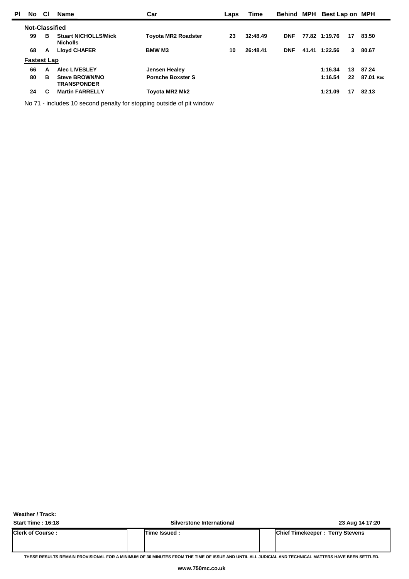| <b>PI</b> | No.                   | <b>CI</b> | <b>Name</b>                                    | Car                        | Laps | Time     |            | Behind MPH Best Lap on MPH |    |           |
|-----------|-----------------------|-----------|------------------------------------------------|----------------------------|------|----------|------------|----------------------------|----|-----------|
|           | <b>Not-Classified</b> |           |                                                |                            |      |          |            |                            |    |           |
|           | 99                    | в         | <b>Stuart NICHOLLS/Mick</b><br><b>Nicholls</b> | <b>Toyota MR2 Roadster</b> | 23   | 32:48.49 | <b>DNF</b> | 77.82 1:19.76              | 17 | 83.50     |
|           | 68                    | A         | <b>Lloyd CHAFER</b>                            | <b>BMW M3</b>              | 10   | 26:48.41 | <b>DNF</b> | 41.41 1:22.56              | 3  | 80.67     |
|           | <b>Fastest Lap</b>    |           |                                                |                            |      |          |            |                            |    |           |
|           | 66                    | A         | <b>Alec LIVESLEY</b>                           | Jensen Healey              |      |          |            | 1:16.34                    | 13 | 87.24     |
|           | 80                    | в         | <b>Steve BROWN/NO</b><br><b>TRANSPONDER</b>    | <b>Porsche Boxster S</b>   |      |          |            | 1:16.54                    | 22 | 87.01 Rec |
|           | 24                    | C         | <b>Martin FARRELLY</b>                         | Toyota MR2 Mk2             |      |          |            | 1:21.09                    | 17 | 82.13     |
|           |                       |           |                                                |                            |      |          |            |                            |    |           |

No 71 - includes 10 second penalty for stopping outside of pit window

**Weather / Track:** 

**Start Time : 16:18 Silverstone International 23 Aug 14 17:20**

| <b>Clerk of Course:</b> | Time Issued. | Chief Timekeeper: Terry Stevens |
|-------------------------|--------------|---------------------------------|
|                         |              |                                 |

**THESE RESULTS REMAIN PROVISIONAL FOR A MINIMUM OF 30 MINUTES FROM THE TIME OF ISSUE AND UNTIL ALL JUDICIAL AND TECHNICAL MATTERS HAVE BEEN SETTLED.**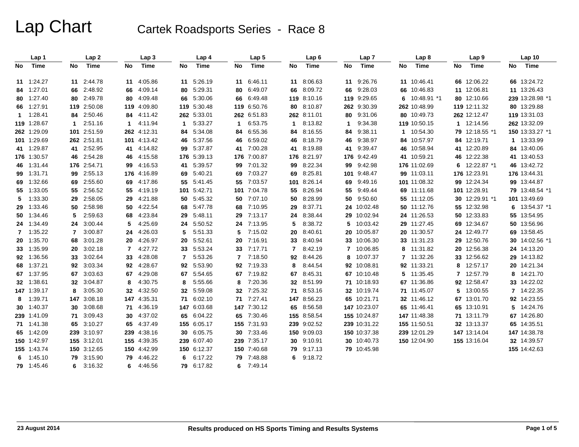|     | Lap 1             |                | Lap2        |     | Lap <sub>3</sub> |     | Lap 4       |     | Lap <sub>5</sub> |             | Lap6        |              | Lap <sub>7</sub> |     | Lap <sub>8</sub> |     | Lap <sub>9</sub> |    | Lap <sub>10</sub> |
|-----|-------------------|----------------|-------------|-----|------------------|-----|-------------|-----|------------------|-------------|-------------|--------------|------------------|-----|------------------|-----|------------------|----|-------------------|
| No. | Time              | No             | Time        | No  | <b>Time</b>      | No  | <b>Time</b> | No. | <b>Time</b>      | No          | Time        | No           | Time             | No. | Time             | No. | Time             | No | Time              |
|     | 11 1:24.27        |                | 11 2:44.78  | 11  | 4:05.86          | 11  | 5:26.19     |     | 11 6:46.11       | 11          | 8:06.63     | 11           | 9:26.76          |     | 11 10:46.41      |     | 66 12:06.22      |    | 66 13:24.72       |
|     | 84 1:27.01        | 66             | 2:48.92     | 66  | 4:09.14          | 80  | 5:29.31     | 80  | 6:49.07          | 66          | 8:09.72     | 66           | 9:28.03          |     | 66 10:46.83      |     | 11 12:06.81      |    | 11 13:26.43       |
|     | 80 1:27.40        | 80             | 2:49.78     | 80  | 4:09.48          | 66  | 5:30.06     | 66. | 6:49.48          |             | 119 8:10.16 |              | 119 9:29.65      | 6   | 10:48.91 *1      |     | 80 12:10.66      |    | 239 13:28.98 *1   |
|     | 66 1:27.91        | 119            | 2:50.08     | 119 | 4:09.80          | 119 | 5:30.48     |     | 119 6:50.76      |             | 80 8:10.87  |              | 262 9:30.39      |     | 262 10:48.99     |     | 119 12:11.32     |    | 80 13:29.88       |
|     | $1 \quad 1:28.41$ |                | 84 2:50.46  | 84  | 4:11.42          | 262 | 5:33.01     |     | 262 6:51.83      |             | 262 8:11.01 | 80           | 9:31.06          |     | 80 10:49.73      |     | 262 12:12.47     |    | 119 13:31.03      |
|     | 119 1:28.67       | $\mathbf{1}$   | 2:51.16     | 1   | 4:11.94          | 1   | 5:33.27     | 1   | 6:53.75          | $\mathbf 1$ | 8:13.82     | 1            | 9:34.38          |     | 119 10:50.15     |     | 1 12:14.56       |    | 262 13:32.09      |
|     | 262 1:29.09       |                | 101 2:51.59 |     | 262 4:12.31      | 84  | 5:34.08     | 84  | 6.55.36          | 84          | 8:16.55     | 84           | 9:38.11          | 1   | 10:54.30         |     | 79 12:18.55 *1   |    | 150 13:33.27 *1   |
|     | 101 1:29.69       |                | 262 2:51.81 |     | 101 4:13.42      | 46  | 5:37.56     | 46  | 6:59.02          | 46          | 8:18.79     | 46           | 9:38.97          | 84  | 10:57.97         |     | 84 12:19.71      |    | 1 13:33.99        |
|     | 41 1:29.87        |                | 41 2:52.95  | 41  | 4:14.82          | 99  | 5:37.87     | 41  | 7:00.28          | 41          | 8:19.88     | 41           | 9:39.47          |     | 46 10:58.94      | 41  | 12:20.89         |    | 84 13:40.06       |
|     | 176 1:30.57       |                | 46 2:54.28  | 46  | 4:15.58          | 176 | 5:39.13     |     | 176 7:00.87      |             | 176 8:21.97 | 176          | 9:42.49          |     | 41 10:59.21      |     | 46 12:22.38      |    | 41 13:40.53       |
|     | 46 1:31.44        |                | 176 2:54.71 | 99  | 4:16.53          | 41  | 5:39.57     | 99  | 7:01.32          | 99          | 8.22.34     | 99           | 9:42.98          |     | 176 11:02.69     | 6   | 12:22.87 *1      |    | 46 13:42.72       |
|     | 99 1:31.71        |                | 99 2:55.13  | 176 | 4:16.89          | 69  | 5:40.21     | 69  | 7:03.27          | 69          | 8:25.81     | 101          | 9:48.47          |     | 99 11:03.11      |     | 176 12:23.91     |    | 176 13:44.31      |
|     | 69 1:32.66        | 69             | 2:55.60     | 69  | 4:17.86          | 55  | 5:41.45     | 55  | 7:03.57          |             | 101 8:26.14 | 69           | 9:49.16          |     | 101 11:08.32     |     | 99 12:24.34      |    | 99 13:44.87       |
|     | 55 1:33.05        | 55             | 2:56.52     | 55  | 4:19.19          | 101 | 5:42.71     |     | 101 7:04.78      | 55          | 8:26.94     | 55           | 9:49.44          |     | 69 11:11.68      |     | 101 12:28.91     |    | 79 13:48.54 *1    |
|     | 5 1:33.30         |                | 29 2:58.05  | 29  | 4:21.88          | 50  | 5:45.32     |     | 50 7:07.10       | 50          | 8:28.99     | 50           | 9:50.60          |     | 55 11:12.05      |     | 30 12:29.91 *1   |    | 101 13:49.69      |
|     | 29 1:33.46        |                | 50 2:58.98  | 50  | 4:22.54          | 68  | 5:47.78     | 68  | 7:10.95          | 29          | 8:37.71     |              | 24 10:02.48      |     | 50 11:12.76      |     | 55 12:32.98      |    | 6 13:54.37 *1     |
|     | 50 1:34.46        | 5              | 2:59.63     | 68  | 4:23.84          | 29  | 5:48.11     |     | 29 7:13.17       |             | 24 8:38.44  | 29           | 10:02.94         |     | 24 11:26.53      |     | 50 12:33.83      |    | 55 13:54.95       |
|     | 24 1:34.49        | 24             | 3:00.44     | 5   | 4:25.69          | 24  | 5:50.52     |     | 24 7:13.95       | 5           | 8:38.72     | 5            | 10:03.42         |     | 29 11:27.45      |     | 69 12:34.67      |    | 50 13:56.96       |
|     | 7 1:35.22         | $\overline{7}$ | 3:00.87     | 24  | 4:26.03          | 5   | 5:51.33     | 5   | 7:15.02          | 20          | 8:40.61     | 20           | 10:05.87         |     | 20 11:30.57      |     | 24 12:49.77      |    | 69 13:58.45       |
|     | 20 1:35.70        | 68             | 3:01.28     | 20  | 4:26.97          | 20  | 5:52.61     | 20  | 7:16.91          | 33          | 8:40.94     |              | 33 10:06.30      |     | 33 11:31.23      |     | 29 12:50.76      |    | 30 14:02.56 *1    |
|     | 33 1:35.99        | 20             | 3:02.18     | 7   | 4:27.72          | 33  | 5:53.24     |     | 33 7:17.71       | 7           | 8:42.19     | $\mathbf{7}$ | 10:06.85         | 8   | 11:31.82         |     | 20 12:56.38      |    | 24 14:13.20       |
|     | 92 1:36.56        | 33             | 3:02.64     | 33  | 4:28.08          | 7   | 5:53.26     |     | 7 7:18.50        |             | 92 8:44.26  | 8            | 10:07.37         |     | 7 11:32.26       |     | 33 12:56.62      |    | 29 14:13.82       |
|     | 68 1:37.21        |                | 92 3:03.34  | 92  | 4:28.67          | 92  | 5:53.90     |     | 92 7:19.33       | 8           | 8:44.54     |              | 92 10:08.81      |     | 92 11:33.21      | 8   | 12:57.17         |    | 20 14:21.34       |
|     | 67 1:37.95        |                | 67 3:03.63  | 67  | 4:29.08          | 67  | 5:54.65     |     | 67 7:19.82       | 67          | 8.45.31     |              | 67 10:10.48      |     | 5 11:35.45       | 7   | 12:57.79         |    | 8 14:21.70        |
|     | 32 1:38.61        |                | 32 3:04.87  | 8   | 4:30.75          | 8   | 5:55.66     | 8   | 7:20.36          |             | 32 8:51.99  |              | 71 10:18.93      |     | 67 11:36.86      |     | 92 12:58.47      |    | 33 14:22.02       |
|     | 147 1:39.17       | 8              | 3:05.30     | 32  | 4:32.50          | 32  | 5:59.08     |     | 32 7:25.32       |             | 71 8:53.16  |              | 32 10:19.74      |     | 71 11:45.07      | 5.  | 13:00.55         |    | 7 14:22.35        |
|     | 8 1:39.71         |                | 147 3:08.18 |     | 147 4:35.31      | 71  | 6:02.10     |     | 71 7:27.41       |             | 147 8:56.23 |              | 65 10:21.71      |     | 32 11:46.12      |     | 67 13:01.70      |    | 92 14:23.55       |
|     | 30 1:40.37        |                | 30 3:08.68  | 71. | 4:36.19          | 147 | 6:03.68     |     | 147 7:30.12      |             | 65 8:56.58  |              | 147 10:23.07     |     | 65 11:46.41      |     | 65 13:10.91      |    | 5 14:24.76        |
|     | 239 1:41.09       |                | 71 3:09.43  | 30  | 4:37.02          | 65  | 6:04.22     |     | 65 7:30.46       |             | 155 8:58.54 |              | 155 10:24.87     |     | 147 11:48.38     |     | 71 13:11.79      |    | 67 14:26.80       |
|     | 71 1:41.38        |                | 65 3:10.27  | 65  | 4:37.49          | 155 | 6:05.17     |     | 155 7:31.93      |             | 239 9:02.52 |              | 239 10:31.22     |     | 155 11:50.51     |     | 32 13:13.37      |    | 65 14:35.51       |
|     | 65 1:42.09        |                | 239 3:10.97 |     | 239 4:38.16      | 30  | 6:05.75     |     | 30 7:33.46       |             | 150 9:09.03 |              | 150 10:37.38     |     | 239 12:01.29     |     | 147 13:14.04     |    | 147 14:38.78      |
|     | 150 1:42.97       |                | 155 3:12.01 |     | 155 4:39.35      |     | 239 6:07.40 |     | 239 7:35.17      |             | 30 9:10.91  |              | 30 10:40.73      |     | 150 12:04.90     |     | 155 13:16.04     |    | 32 14:39.57       |
|     | 155 1:43.74       |                | 150 3:12.65 |     | 150 4:42.99      |     | 150 6:12.37 |     | 150 7:40.68      |             | 79 9:17.13  |              | 79 10:45.98      |     |                  |     |                  |    | 155 14:42.63      |
|     | $6$ 1:45.10       |                | 79 3:15.90  | 79  | 4:46.22          | 6   | 6:17.22     |     | 79 7:48.88       | 6           | 9:18.72     |              |                  |     |                  |     |                  |    |                   |
|     | 79 1:45.46        |                | 6 3:16.32   | 6.  | 4:46.56          | 79  | 6:17.82     |     | $6$ 7:49.14      |             |             |              |                  |     |                  |     |                  |    |                   |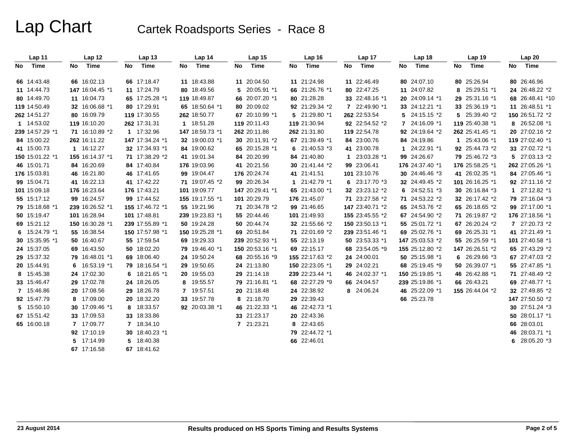|      | Lap 11          |      | Lap 12          |    | Lap <sub>13</sub> |      | Lap 14          | Lap 15          | Lap <sub>16</sub> | Lap 17          |              | Lap <sub>18</sub> |    | Lap 19          | Lap 20          |
|------|-----------------|------|-----------------|----|-------------------|------|-----------------|-----------------|-------------------|-----------------|--------------|-------------------|----|-----------------|-----------------|
| No l | Time            | No l | Time            | No | Time              | No l | Time            | No Time         | No Time           | No Time         | No           | Time              | No | Time            | No Time         |
|      | 66 14:43.48     |      | 66 16:02.13     |    | 66 17:18.47       |      | 11 18:43.88     | 11 20:04.50     | 11 21:24.98       | 11 22:46.49     |              | 80 24:07.10       |    | 80 25:26.94     | 80 26:46.96     |
|      | 11 14:44.73     |      | 147 16:04.45 *1 |    | 11 17:24.79       |      | 80 18:49.56     | 5 20:05.91 *1   | 66 21:26.76 *1    | 80 22:47.25     |              | 11 24:07.82       | 8  | 25:29.51 *1     | 24 26:48.22 *2  |
|      | 80 14:49.70     |      | 11 16:04.73     |    | 65 17:25.28 *1    |      | 119 18:49.87    | 66 20:07.20 *1  | 80 21:28.28       | 33 22:48.16 *1  |              | 20 24:09.14 *1    |    | 29 25:31.16 *1  | 68 26:48.41 *10 |
|      | 119 14:50.49    |      | 32 16:06.68 *1  |    | 80 17:29.91       |      | 65 18:50.64 *1  | 80 20:09.02     | 92 21:29.34 *2    | 7 22:49.90 *1   |              | 33 24:12.21 *1    |    | 33 25:36.19 *1  | 11 26:48.51 *1  |
|      | 262 14:51.27    |      | 80 16:09.79     |    | 119 17:30.55      |      | 262 18:50.77    | 67 20:10.99 *1  | 5 21:29.80 *1     | 262 22:53.54    |              | 5 24:15.15 *2     |    | 5 25:39.40 *2   | 150 26:51.72 *2 |
|      | 1 14:53.02      |      | 119 16:10.20    |    | 262 17:31.31      |      | 1 18:51.28      | 119 20:11.43    | 119 21:30.94      | 92 22:54.52 *2  |              | 7 24:16.09 *1     |    | 119 25:40.38 *1 | 8 26:52.08 *1   |
|      | 239 14:57.29 *1 |      | 71 16:10.89 *2  |    | 1 17:32.96        |      | 147 18:59.73 *1 | 262 20:11.86    | 262 21:31.80      | 119 22:54.78    |              | 92 24:19.64 *2    |    | 262 25:41.45 *1 | 20 27:02.16 *2  |
|      | 84 15:00.22     |      | 262 16:11.22    |    | 147 17:34.24 *1   |      | 32 19:00.03 *1  | 30 20:11.91 *2  | 67 21:39.49 *1    | 84 23:00.76     |              | 84 24:19.86       |    | 1 25:43.06 *1   | 119 27:02.40 *1 |
|      | 41 15:00.73     |      | 1 16:12.27      |    | 32 17:34.93 *1    |      | 84 19:00.62     | 65 20:15.28 *1  | 6 $21:40.53*3$    | 41 23:00.78     | $\mathbf{1}$ | 24:22.91 *1       |    | 92 25:44.73 *2  | 33 27:02.72 *1  |
|      | 150 15:01.22 *1 |      | 155 16:14.37 *1 |    | 71 17:38.29 *2    |      | 41 19:01.34     | 84 20:20.99     | 84 21:40.80       | 1 23:03.28 *1   |              | 99 24:26.67       |    | 79 25:46.72 *3  | 5 27:03.13 *2   |
|      | 46 15:01.71     |      | 84 16:20.69     |    | 84 17:40.84       |      | 176 19:03.96    | 41 20:21.56     | 30 21:41.44 *2    | 99 23:06.41     |              | 176 24:37.40 *1   |    | 176 25:58.25 *1 | 262 27:05.26 *1 |
|      | 176 15:03.81    |      | 46 16:21.80     |    | 46 17:41.65       |      | 99 19:04.47     | 176 20:24.74    | 41 21:41.51       | 101 23:10.76    |              | 30 24:46.46 *3    |    | 41 26:02.35 *1  | 84 27:05.46 *1  |
|      | 99 15:04.71     |      | 41 16:22.13     |    | 41 17:42.22       |      | 71 19:07.45 *2  | 99 20:26.34     | 1 21:42.79 *1     | 6 $23:17.70*3$  |              | 32 24:49.45 *2    |    | 101 26:16.25 *1 | 92 27:11.16 *2  |
|      | 101 15:09.18    |      | 176 16:23.64    |    | 176 17:43.21      |      | 101 19:09.77    | 147 20:29.41 *1 | 65 21:43.00 *1    | 32 23:23.12 *2  |              | 6 $24:52.51$ *3   |    | 30 26:16.84 *3  | $127:12.82*1$   |
|      | 55 15:17.12     |      | 99 16:24.57     |    | 99 17:44.52       |      | 155 19:17.55 *1 | 101 20:29.79    | 176 21:45.07      | 71 23:27.58 *2  |              | 71 24:53.22 *2    |    | 32 26:17.42 *2  | 79 27:16.04 *3  |
|      | 79 15:18.68 *1  |      | 239 16:26.52 *1 |    | 155 17:46.72 *1   |      | 55 19:21.96     | 71 20:34.78 *2  | 99 21:46.65       | 147 23:40.71 *2 |              | 65 24:53.76 *2    |    | 65 26:18.65 *2  | 99 27:17.00 *1  |
|      | 50 15:19.47     |      | 101 16:28.94    |    | 101 17:48.81      |      | 239 19:23.83 *1 | 55 20:44.46     | 101 21:49.93      | 155 23:45.55 *2 |              | 67 24:54.90 *2    |    | 71 26:19.87 *2  | 176 27:18.56 *1 |
|      | 69 15:21.12     |      | 150 16:30.28 *1 |    | 239 17:55.89 *1   |      | 50 19:24.28     | 50 20:44.74     | 32 21:55.66 *2    | 150 23:50.13 *1 |              | 55 25:01.72 *1    |    | 67 26:20.24 *2  | 7 27:20.73 *2   |
|      | 6 15:24.79 *1   |      | 55 16:38.54     |    | 150 17:57.98 *1   |      | 150 19:25.28 *1 | 69 20:51.84     | 71 22:01.69 *2    | 239 23:51.46 *1 |              | 69 25:02.76 *1    |    | 69 26:25.31 *1  | 41 27:21.49 *1  |
|      | 30 15:35.95 *1  |      | 50 16:40.67     |    | 55 17:59.54       |      | 69 19:29.33     | 239 20:52.93 *1 | 55 22:13.19       | 50 23:53.33 *1  |              | 147 25:03.53 *2   |    | 55 26:25.59 *1  | 101 27:40.58 *1 |
|      | 24 15:37.05     |      | 69 16:43.50     |    | 50 18:02.20       |      | 79 19:46.40 *1  | 150 20:53.16 *1 | 69 22:15.17       | 68 23:54.05 *9  |              | 155 25:12.80 *2   |    | 147 26:26.51 *2 | 65 27:43.29 *2  |
|      | 29 15:37.32     |      | 79 16:48.01 *1  |    | 69 18:06.40       | 24   | 19:50.24        | 68 20:55.16 *9  | 155 22:17.63 *2   | 24 24:00.01     |              | 50 25:15.98 *1    |    | 6 26:29.66 *3   | 67 27:47.03 *2  |
|      | 20 15:44.91     |      | 6 16:53.19 *1   |    | 79 18:16.54 *1    |      | 29 19:50.65     | 24 21:13.80     | 150 22:23.05 *1   | 29 24:02.21     |              | 68 25:19.45 *9    |    | 50 26:39.07 *1  | 55 27:47.85 *1  |
|      | 8 15:45.38      |      | 24 17:02.30     |    | 6 $18:21.65$ *1   |      | 20 19:55.03     | 29 21:14.18     | 239 22:23.44 *1   | 46 24:02.37 *1  |              | 150 25:19.85 *1   |    | 46 26:42.88 *1  | 71 27:48.49 *2  |
|      | 33 15:46.47     |      | 29 17:02.78     |    | 24 18:26.05       |      | 8 19:55.57      | 79 21:16.81 *1  | 68 22:27.29 *9    | 66 24:04.57     |              | 239 25:19.86 *1   |    | 66 26:43.21     | 69 27:48.77 *1  |
|      | 7 15:46.86      |      | 20 17:08.56     |    | 29 18:26.78       |      | 7 19:57.51      | 20 21:18.48     | 24 22:38.92       | 8 24:06.24      |              | 46 25:22.09 *1    |    | 155 26:44.04 *2 | 32 27:49.85 *2  |
|      | 92 15:47.79     |      | 8 17:09.00      |    | 20 18:32.20       |      | 33 19:57.78     | 8 21:18.70      | 29 22:39.43       |                 |              | 66 25:23.78       |    |                 | 147 27:50.50 *2 |
|      | 5 15:50.10      |      | 30 17:09.46 *1  |    | 8 18:33.57        |      | 92 20:03.38 *1  | 46 21:22.33 *1  | 46 22:42.73 *1    |                 |              |                   |    |                 | 30 27:51.24 *3  |
|      | 67 15:51.42     |      | 33 17:09.53     |    | 33 18:33.86       |      |                 | 33 21:23.17     | 20 22:43.36       |                 |              |                   |    |                 | 50 28:01.17 *1  |
|      | 65 16:00.18     |      | 7 17:09.77      |    | 7 18:34.10        |      |                 | 7 21:23.21      | 8 22:43.65        |                 |              |                   |    |                 | 66 28:03.01     |
|      |                 |      | 92 17:10.19     |    | 30 18:40.23 *1    |      |                 |                 | 79 22:44.72 *1    |                 |              |                   |    |                 | 46 28:03.71 *1  |
|      |                 |      | 5 17:14.99      |    | 5 18:40.38        |      |                 |                 | 66 22:46.01       |                 |              |                   |    |                 | 6 28:05.20 *3   |
|      |                 |      | 67 17:16.58     |    | 67 18:41.62       |      |                 |                 |                   |                 |              |                   |    |                 |                 |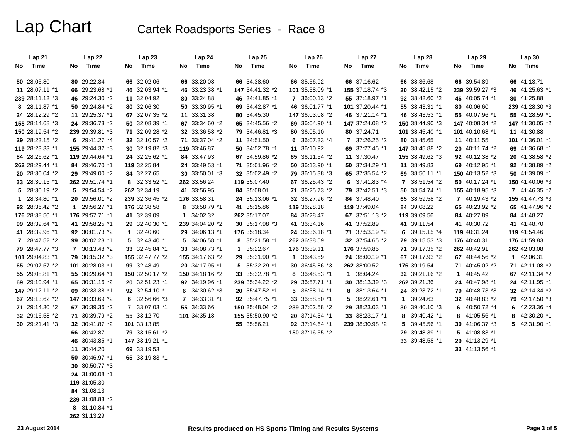| Lap21           | Lap 22          | Lap23           | Lap 24          | Lap25           | Lap26           | Lap 27          | Lap 28          | Lap29            | Lap 30          |
|-----------------|-----------------|-----------------|-----------------|-----------------|-----------------|-----------------|-----------------|------------------|-----------------|
| No Time         | Time<br>No.     | Time<br>No      | No<br>Time      | Time<br>No      | Time<br>No      | Time<br>No      | Time<br>No      | No<br>Time       | Time<br>No      |
| 80 28:05.80     | 80 29:22.34     | 66 32:02.06     | 66 33:20.08     | 66 34:38.60     | 66 35:56.92     | 66 37:16.62     | 66 38:36.68     | 66 39:54.89      | 66 41:13.71     |
| 11 28:07.11 *1  | 66 29:23.68 *1  | 46 32:03.94 *1  | 46 33:23.38 *1  | 147 34:41.32 *2 | 101 35:58.09 *1 | 155 37:18.74 *3 | 20 38:42.15 *2  | 239 39:59.27 *3  | 46 41:25.63 *1  |
| 239 28:11.12 *3 | 46 29:24.30 *2  | 11 32:04.92     | 80 33:24.88     | 46 34:41.85 *1  | 7 36:00.13 *2   | 55 37:18.97 *1  | 92 38:42.60 *2  | 46 40:05.74 *1   | 80 41:25.88     |
| 8 28:11.87 *1   | 50 29:24.84 *2  | 80 32:06.30     | 50 33:30.95 *1  | 69 34:42.87 *1  | 46 36:01.77 *1  | 101 37:20.44 *1 | 55 38:43.31 *1  | 80 40:06.60      | 239 41:28.30 *3 |
| 24 28:12.29 *2  | 11 29:25.37 *1  | 67 32:07.35 *2  | 11 33:31.38     | 80 34:45.30     | 147 36:03.08 *2 | 46 37:21.14 *1  | 46 38:43.53 *1  | 55 40:07.96 *1   | 55 41:28.59 *1  |
| 155 28:14.68 *3 | 24 29:36.73 *2  | 50 32:08.39 *1  | 67 33:34.60 *2  | 65 34:45.56 *2  | 69 36:04.90 *1  | 147 37:24.08 *2 | 150 38:44.90 *3 | 147 40:08.34 *2  | 147 41:30.05 *2 |
| 150 28:19.54 *2 | 239 29:39.81 *3 | 71 32:09.28 *2  | 32 33:36.58 *2  | 79 34:46.81 *3  | 80 36:05.10     | 80 37:24.71     | 101 38:45.40 *1 | 101 40:10.68 *1  | 11 41:30.88     |
| 29 28:23.15 *2  | 6 29:41.27 *4   | 32 32:10.57 *2  | 71 33:37.04 *2  | 11 34:51.50     | 6 36:07.33 *4   | 7 37:26.25 *2   | 80 38:45.65     | 11 40:11.55      | 101 41:36.01 *1 |
| 119 28:23.33 *1 | 155 29:44.32 *3 | 30 32:19.82 *3  | 119 33:46.87    | 50 34:52.78 *1  | 11 36:10.92     | 69 37:27.45 *1  | 147 38:45.88 *2 | 20 40:11.74 *2   | 69 41:36.68 *1  |
| 84 28:26.62 *1  | 119 29:44.64 *1 | 24 32:25.62 *1  | 84 33:47.93     | 67 34:59.86 *2  | 65 36:11.54 *2  | 11 37:30.47     | 155 38:49.62 *3 | 92 40:12.38 *2   | 20 41:38.58 *2  |
| 262 28:29.44 *1 | 84 29:46.70 *1  | 119 32:25.84    | 24 33:49.53 *1  | 71 35:01.96 *2  | 50 36:13.90 *1  | 50 37:34.29 *1  | 11 38:49.83     | 69 40:12.95 *1   | 92 41:38.89 *2  |
| 20 28:30.04 *2  | 29 29:49.00 *2  | 84 32:27.65     | 30 33:50.01 *3  | 32 35:02.49 *2  | 79 36:15.38 *3  | 65 37:35.54 *2  | 69 38:50.11 *1  | 150 40:13.52 *3  | 50 41:39.09 *1  |
| 33 28:30.15 *1  | 262 29:51.74 *1 | 8 32:33.52 *1   | 262 33:56.24    | 119 35:07.40    | 67 36:25.43 *2  | 6 $37:41.83$ *4 | 7 38:51.54 *2   | 50 40:17.24 *1   | 150 41:40.06 *3 |
| 5 28:30.19 *2   | 5 29:54.54 *2   | 262 32:34.19    | 41 33:56.95     | 84 35:08.01     | 71 36:25.73 *2  | 79 37:42.51 *3  | 50 38:54.74 *1  | 155 40:18.95 *3  | 7 41:46.35 *2   |
| 1 28:34.80 *1   | 20 29:56.01 *2  | 239 32:36.45 *2 | 176 33:58.31    | 24 35:13.06 *1  | 32 36:27.96 *2  | 84 37:48.40     | 65 38:59.58 *2  | 7 40:19.43 *2    | 155 41:47.73 *3 |
| 92 28:36.42 *2  | 1 29:56.27 *1   | 176 32:38.58    | 8 33:58.79 *1   | 41 35:15.86     | 119 36:28.18    | 119 37:49.04    | 84 39:08.22     | 65 40:23.92 *2   | 65 41:47.96 *2  |
| 176 28:38.50 *1 | 176 29:57.71 *1 | 41 32:39.09     | 1 34:02.32      | 262 35:17.07    | 84 36:28.47     | 67 37:51.13 *2  | 119 39:09.56    | 84 40:27.89      | 84 41:48.27     |
| 99 28:39.64 *1  | 41 29:58.25 *1  | 29 32:40.30 *1  | 239 34:04.20 *2 | 30 35:17.98 *3  | 41 36:34.16     | 41 37:52.89     | 41 39:11.54     | 41 40:30.72      | 41 41:48.70     |
| 41 28:39.96 *1  | 92 30:01.73 *2  | 1 32:40.60      | 29 34:06.13 *1  | 176 35:18.34    | 24 36:36.18 *1  | 71 37:53.19 *2  | 6 39:15.15 $*4$ | 119 40:31.24     | 119 41:54.46    |
| 7 28:47.52 *2   | 99 30:02.23 *1  | 5 32:43.40 *1   | 5 34:06.58 *1   | 8 35:21.58 *1   | 262 36:38.59    | 32 37:54.65 *2  | 79 39:15.53 *3  | 176 40:40.31     | 176 41:59.83    |
| 79 28:47.77 *3  | 7 30:13.48 *2   | 33 32:45.84 *1  | 33 34:08.73 *1  | 1 35:22.67      | 176 36:39.11    | 176 37:59.85    | 71 39:17.35 *2  | 262 40:42.91     | 262 42:03.08    |
| 101 29:04.83 *1 | 79 30:15.32 *3  | 155 32:47.77 *2 | 155 34:17.63 *2 | 29 35:31.90 *1  | 1 36:43.59      | 24 38:00.19 *1  | 67 39:17.93 *2  | 67 40:44.56 *2   | 1 42:06.31      |
| 65 29:07.57 *2  | 101 30:28.03 *1 | 99 32:48.49     | 20 34:17.95 *1  | 5 35:32.29 *1   | 30 36:45.86 *3  | 262 38:00.52    | 176 39:19.54    | 71 40:45.02 *2   | 71 42:11.08 *2  |
| 55 29:08.81 *1  | 55 30:29.64 *1  | 150 32:50.17 *2 | 150 34:18.16 *2 | 33 35:32.78 *1  | 8 36:48.53 *1   | 1 38:04.24      | 32 39:21.16 *2  | 1 40:45.42       | 67 42:11.34 *2  |
| 69 29:10.94 *1  | 65 30:31.16 *2  | 20 32:51.23 *1  | 92 34:19.96 *1  | 239 35:34.22 *2 | 29 36:57.71 *1  | 30 38:13.39 *3  | 262 39:21.36    | 24 40:47.98 *1   | 24 42:11.95 *1  |
| 147 29:12.11 *2 | 69 30:33.38 *1  | 92 32:54.10 *1  | 6 $34:30.62*3$  | 20 35:47.52 *1  | 5 36:58.14 *1   | 8 38:13.64 *1   | 24 39:23.72 *1  | 79 40:48.73 *3   | 32 42:14.34 *2  |
| 67 29:13.62 *2  | 147 30:33.69 *2 | 6 $32:56.66*3$  | 7 34:33.31 *1   | 92 35:47.75 *1  | 33 36:58.50 *1  | 5 38:22.61 *1   | 1 39:24.63      | 32 40:48.83 *2   | 79 42:17.50 *3  |
| 71 29:14.30 *2  | 67 30:39.36 *2  | 7 33:07.03 *1   | 55 34:33.66     | 150 35:48.04 *2 | 239 37:02.58 *2 | 29 38:23.03 *1  | 30 39:40.10 *3  | 40:50.72 *4<br>6 | 6 42:23.36 *4   |
| 32 29:16.58 *2  | 71 30:39.79 *2  | 55 33:12.70     | 101 34:35.18    | 155 35:50.90 *2 | 20 37:14.34 *1  | 33 38:23.17 *1  | 8 39:40.42 *1   | 8 41:05.56 *1    | 8 42:30.20 *1   |
| 30 29:21.41 *3  | 32 30:41.87 *2  | 101 33:13.85    |                 | 55 35:56.21     | 92 37:14.64 *1  | 239 38:30.98 *2 | 5 39:45.56 *1   | 30 41:06.37 *3   | 5 42:31.90 *1   |
|                 | 66 30:42.87     | 79 33:15.61 *2  |                 |                 | 150 37:16.55 *2 |                 | 29 39:48.39 *1  | 5 41:08.83 *1    |                 |
|                 | 46 30:43.85 *1  | 147 33:19.21 *1 |                 |                 |                 |                 | 33 39:48.58 *1  | 29 41:13.29 *1   |                 |
|                 | 11 30:44.20     | 69 33:19.53     |                 |                 |                 |                 |                 | 33 41:13.56 *1   |                 |
|                 | 50 30:46.97 *1  | 65 33:19.83 *1  |                 |                 |                 |                 |                 |                  |                 |
|                 | 30 30:50.77 *3  |                 |                 |                 |                 |                 |                 |                  |                 |
|                 | 24 31:00.08 *1  |                 |                 |                 |                 |                 |                 |                  |                 |
|                 | 119 31:05.30    |                 |                 |                 |                 |                 |                 |                  |                 |
|                 | 84 31:08.13     |                 |                 |                 |                 |                 |                 |                  |                 |
|                 | 239 31:08.83 *2 |                 |                 |                 |                 |                 |                 |                  |                 |
|                 | 8 31:10.84 *1   |                 |                 |                 |                 |                 |                 |                  |                 |
|                 | 262 31:13.29    |                 |                 |                 |                 |                 |                 |                  |                 |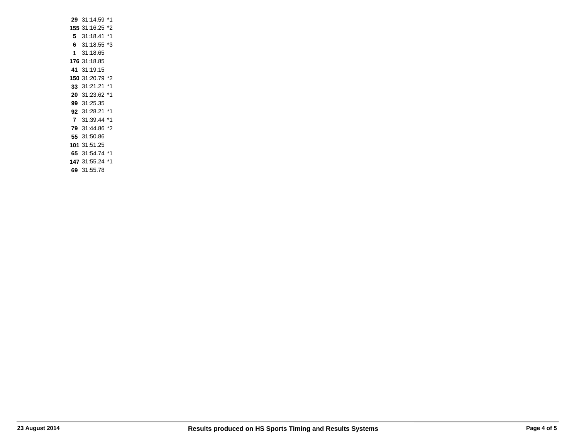| 29 | 31:14.59            | *1 |
|----|---------------------|----|
|    | <b>155</b> 31:16.25 | *2 |
| 5. | 31:18.41            | *1 |
| 6. | 31:18.55            | *3 |
| 1  | 31:18.65            |    |
|    | <b>176</b> 31:18.85 |    |
| 41 | 31:19.15            |    |
|    | 150 31:20.79        | *2 |
| 33 | 31:21.21            | *1 |
|    | 20 31:23.62         | *1 |
|    | 99 31:25.35         |    |
|    | 92 31:28.21         | *1 |
| 7  | 31:39.44            | *1 |
|    | 79 31:44.86         | *2 |
|    | 55 31:50.86         |    |
|    | 101 31:51.25        |    |
|    | 65 31:54.74 *1      |    |
|    | 147 31:55.24        | *1 |
| 69 | 31:55.78            |    |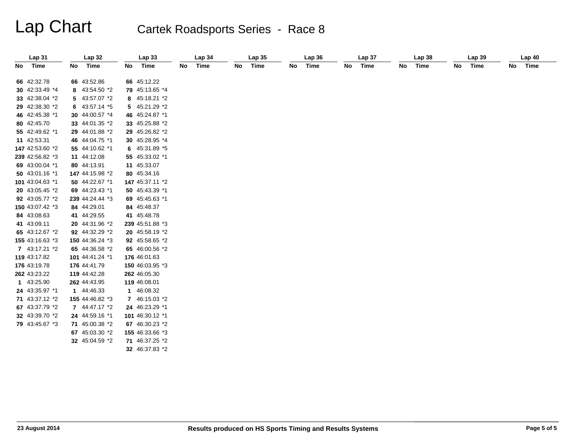| Lap 31          |      | <b>Lap 32</b>   |     | Lap33           |    | Lap 34 |    | <b>Lap 35</b> |    | Lap36 |    | Lap 37 |    | Lap 38 |    | Lap39 |    | Lap40 |
|-----------------|------|-----------------|-----|-----------------|----|--------|----|---------------|----|-------|----|--------|----|--------|----|-------|----|-------|
| No Time         | No l | Time            | No. | Time            | No | Time   | No | Time          | No | Time  | No | Time   | No | Time   | No | Time  | No | Time  |
|                 |      |                 |     |                 |    |        |    |               |    |       |    |        |    |        |    |       |    |       |
| 66 42:32.78     |      | 66 43:52.86     |     | 66 45:12.22     |    |        |    |               |    |       |    |        |    |        |    |       |    |       |
| 30 42:33.49 *4  |      | 8 43:54.50 *2   |     | 79 45:13.65 *4  |    |        |    |               |    |       |    |        |    |        |    |       |    |       |
| 33 42:38.04 *2  |      | 5 43:57.07 *2   |     | 8 45:18.21 *2   |    |        |    |               |    |       |    |        |    |        |    |       |    |       |
| 29 42:38.30 *2  |      | 6 $43:57.14*5$  |     | 5 45:21.29 *2   |    |        |    |               |    |       |    |        |    |        |    |       |    |       |
| 46 42:45.38 *1  |      | 30 44:00.57 *4  |     | 46 45:24.87 *1  |    |        |    |               |    |       |    |        |    |        |    |       |    |       |
| 80 42:45.70     |      | 33 44:01.35 *2  |     | 33 45:25.88 *2  |    |        |    |               |    |       |    |        |    |        |    |       |    |       |
| 55 42:49.62 *1  |      | 29 44:01.88 *2  |     | 29 45:26.82 *2  |    |        |    |               |    |       |    |        |    |        |    |       |    |       |
| 11 42:53.31     |      | 46 44:04.75 *1  |     | 30 45:28.95 *4  |    |        |    |               |    |       |    |        |    |        |    |       |    |       |
| 147 42:53.60 *2 |      | 55 44:10.62 *1  |     | 6 45:31.89 *5   |    |        |    |               |    |       |    |        |    |        |    |       |    |       |
| 239 42:56.82 *3 |      | 11 44:12.08     |     | 55 45:33.02 *1  |    |        |    |               |    |       |    |        |    |        |    |       |    |       |
| 69 43:00.04 *1  |      | 80 44:13.91     |     | 11 45:33.07     |    |        |    |               |    |       |    |        |    |        |    |       |    |       |
| 50 43:01.16 *1  |      | 147 44:15.98 *2 |     | 80 45:34.16     |    |        |    |               |    |       |    |        |    |        |    |       |    |       |
| 101 43:04.63 *1 |      | 50 44:22.67 *1  |     | 147 45:37.11 *2 |    |        |    |               |    |       |    |        |    |        |    |       |    |       |
| 20 43:05.45 *2  |      | 69 44:23.43 *1  |     | 50 45:43.39 *1  |    |        |    |               |    |       |    |        |    |        |    |       |    |       |
| 92 43:05.77 *2  |      | 239 44:24.44 *3 |     | 69 45:45.63 *1  |    |        |    |               |    |       |    |        |    |        |    |       |    |       |
| 150 43:07.42 *3 |      | 84 44:29.01     |     | 84 45:48.37     |    |        |    |               |    |       |    |        |    |        |    |       |    |       |
| 84 43:08.63     |      | 41 44:29.55     |     | 41 45:48.78     |    |        |    |               |    |       |    |        |    |        |    |       |    |       |
| 41 43:09.11     |      | 20 44:31.96 *2  |     | 239 45:51.88 *3 |    |        |    |               |    |       |    |        |    |        |    |       |    |       |
| 65 43:12.67 *2  |      | 92 44:32.29 *2  |     | 20 45:58.19 *2  |    |        |    |               |    |       |    |        |    |        |    |       |    |       |
| 155 43:16.63 *3 |      | 150 44:36.24 *3 |     | 92 45:58.65 *2  |    |        |    |               |    |       |    |        |    |        |    |       |    |       |
| 7 43:17.21 *2   |      | 65 44:36.58 *2  |     | 65 46:00.56 *2  |    |        |    |               |    |       |    |        |    |        |    |       |    |       |
| 119 43:17.82    |      | 101 44:41.24 *1 |     | 176 46:01.63    |    |        |    |               |    |       |    |        |    |        |    |       |    |       |
| 176 43:19.78    |      | 176 44:41.79    |     | 150 46:03.95 *3 |    |        |    |               |    |       |    |        |    |        |    |       |    |       |
| 262 43:23.22    |      | 119 44:42.28    |     | 262 46:05.30    |    |        |    |               |    |       |    |        |    |        |    |       |    |       |
| 1 43:25.90      |      | 262 44:43.95    |     | 119 46:08.01    |    |        |    |               |    |       |    |        |    |        |    |       |    |       |
| 24 43:35.97 *1  |      | 1 44:46.33      |     | 1 46:08.32      |    |        |    |               |    |       |    |        |    |        |    |       |    |       |
| 71 43:37.12 *2  |      | 155 44:46.82 *3 |     | 7 46:15.03 *2   |    |        |    |               |    |       |    |        |    |        |    |       |    |       |
| 67 43:37.79 *2  |      | 7 44:47.17 *2   |     | 24 46:23.29 *1  |    |        |    |               |    |       |    |        |    |        |    |       |    |       |
| 32 43:39.70 *2  |      | 24 44:59.16 *1  |     | 101 46:30.12 *1 |    |        |    |               |    |       |    |        |    |        |    |       |    |       |
| 79 43:45.67 *3  |      | 71 45:00.38 *2  |     | 67 46:30.23 *2  |    |        |    |               |    |       |    |        |    |        |    |       |    |       |
|                 |      | 67 45:03.30 *2  |     | 155 46:33.66 *3 |    |        |    |               |    |       |    |        |    |        |    |       |    |       |
|                 |      | 32 45:04.59 *2  |     | 71 46:37.25 *2  |    |        |    |               |    |       |    |        |    |        |    |       |    |       |
|                 |      |                 |     | 32 46:37.83 *2  |    |        |    |               |    |       |    |        |    |        |    |       |    |       |
|                 |      |                 |     |                 |    |        |    |               |    |       |    |        |    |        |    |       |    |       |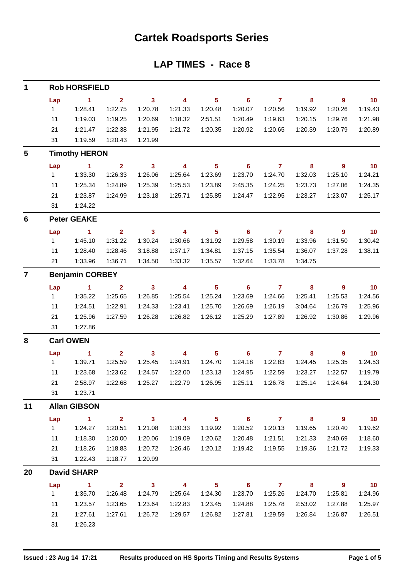## **Cartek Roadsports Series**

### **LAP TIMES - Race 8**

| 1                       |           | <b>Rob HORSFIELD</b>   |                         |                            |                         |                            |                            |                |                            |                            |                          |
|-------------------------|-----------|------------------------|-------------------------|----------------------------|-------------------------|----------------------------|----------------------------|----------------|----------------------------|----------------------------|--------------------------|
|                         | Lap       | $\blacksquare$ 1       | $\overline{2}$          | $\overline{\mathbf{3}}$    | $\overline{\mathbf{4}}$ | $5^{\circ}$                | $\overline{\phantom{0}}$ 6 | $\overline{7}$ | 8                          | $\overline{\phantom{a}}$   | $\overline{\mathbf{10}}$ |
|                         | 1         | 1:28.41                | 1:22.75                 | 1:20.78                    | 1:21.33                 | 1:20.48                    | 1:20.07                    | 1:20.56        | 1:19.92                    | 1:20.26                    | 1:19.43                  |
|                         | 11        | 1:19.03                | 1:19.25                 | 1:20.69                    | 1:18.32                 | 2:51.51                    | 1:20.49                    | 1:19.63        | 1:20.15                    | 1:29.76                    | 1:21.98                  |
|                         | 21        | 1:21.47                | 1:22.38                 | 1:21.95                    | 1:21.72                 | 1:20.35                    | 1:20.92                    | 1:20.65        | 1:20.39                    | 1:20.79                    | 1:20.89                  |
|                         | 31        | 1:19.59                | 1:20.43                 | 1:21.99                    |                         |                            |                            |                |                            |                            |                          |
| $\overline{\mathbf{5}}$ |           | <b>Timothy HERON</b>   |                         |                            |                         |                            |                            |                |                            |                            |                          |
|                         | Lap       | $\blacksquare$ 1       | $\mathbf{2}$            | $\overline{\mathbf{3}}$    | $\overline{\mathbf{4}}$ | $\overline{\phantom{0}}$ 5 | $\overline{\phantom{0}}$ 6 | $\overline{7}$ | $\overline{\phantom{a}}$ 8 | $\overline{\phantom{a}}$   | $\overline{\mathbf{10}}$ |
|                         | 1         | 1:33.30                | 1:26.33                 | 1:26.06                    | 1:25.64                 | 1:23.69                    | 1:23.70                    | 1:24.70        | 1:32.03                    | 1:25.10                    | 1:24.21                  |
|                         | 11        | 1:25.34                | 1:24.89                 | 1:25.39                    | 1:25.53                 | 1:23.89                    | 2:45.35                    | 1:24.25        | 1:23.73                    | 1:27.06                    | 1:24.35                  |
|                         | 21        | 1:23.87                | 1:24.99                 | 1:23.18                    | 1:25.71                 | 1:25.85                    | 1:24.47                    | 1:22.95        | 1:23.27                    | 1:23.07                    | 1:25.17                  |
|                         | 31        | 1:24.22                |                         |                            |                         |                            |                            |                |                            |                            |                          |
| 6                       |           | <b>Peter GEAKE</b>     |                         |                            |                         |                            |                            |                |                            |                            |                          |
|                         | Lap       | $\sim$ 1               | $2^{\circ}$             | $\overline{\mathbf{3}}$    | $\overline{\mathbf{4}}$ | $\overline{\phantom{1}}$ 5 | $\overline{\phantom{a}}$ 6 | $\overline{7}$ | $\overline{\phantom{a}}$ 8 | $\overline{\phantom{a}}$ 9 | $\overline{10}$          |
|                         | 1         | 1:45.10                | 1:31.22                 | 1:30.24                    | 1:30.66                 | 1:31.92                    | 1:29.58                    | 1:30.19        | 1:33.96                    | 1:31.50                    | 1:30.42                  |
|                         | 11        | 1:28.40                | 1:28.46                 | 3:18.88                    | 1:37.17                 | 1:34.81                    | 1:37.15                    | 1:35.54        | 1:36.07                    | 1:37.28                    | 1:38.11                  |
|                         | 21        | 1:33.96                | 1:36.71                 | 1:34.50                    | 1:33.32                 | 1:35.57                    | 1:32.64                    | 1:33.78        | 1:34.75                    |                            |                          |
| $\overline{7}$          |           | <b>Benjamin CORBEY</b> |                         |                            |                         |                            |                            |                |                            |                            |                          |
|                         | Lap       | $\sim$ 1               | $\overline{\mathbf{2}}$ | $\overline{\mathbf{3}}$    | $\overline{\mathbf{4}}$ | $\overline{\phantom{0}}$ 5 | $\overline{\phantom{0}}$ 6 | $\overline{7}$ | $\overline{\mathbf{8}}$    | $\overline{\phantom{a}}$   | $\overline{10}$          |
|                         | $1 \quad$ | 1:35.22                | 1:25.65                 | 1:26.85                    | 1:25.54                 | 1:25.24                    | 1:23.69                    | 1:24.66        | 1:25.41                    | 1:25.53                    | 1:24.56                  |
|                         | 11        | 1:24.51                | 1:22.91                 | 1:24.33                    | 1:23.41                 | 1:25.70                    | 1:26.69                    | 1:26.19        | 3:04.64                    | 1:26.79                    | 1:25.96                  |
|                         | 21        | 1:25.96                | 1:27.59                 | 1:26.28                    | 1:26.82                 | 1:26.12                    | 1:25.29                    | 1:27.89        | 1:26.92                    | 1:30.86                    | 1:29.96                  |
|                         | 31        | 1:27.86                |                         |                            |                         |                            |                            |                |                            |                            |                          |
| 8                       |           | <b>Carl OWEN</b>       |                         |                            |                         |                            |                            |                |                            |                            |                          |
|                         | Lap       | $\sim$ 1               | $2^{\circ}$             | $\sim$ 3                   | $\overline{\mathbf{4}}$ | 5 <sup>5</sup>             | $\overline{\phantom{0}}$ 6 | $\overline{7}$ | 8                          | $\overline{\phantom{a}}$ 9 | 10                       |
|                         | $1 \quad$ | 1:39.71                | 1:25.59                 | 1:25.45                    | 1:24.91                 | 1:24.70                    | 1:24.18                    | 1:22.83        | 1:24.45                    | 1:25.35                    | 1:24.53                  |
|                         | 11        | 1:23.68                | 1:23.62                 | 1:24.57                    | 1:22.00                 | 1:23.13                    | 1:24.95                    | 1:22.59        | 1:23.27                    | 1:22.57                    | 1:19.79                  |
|                         | 21        | 2:58.97                | 1:22.68                 | 1:25.27                    | 1:22.79                 | 1:26.95                    | 1:25.11                    | 1:26.78        | 1:25.14                    | 1:24.64                    | 1:24.30                  |
|                         | 31        | 1:23.71                |                         |                            |                         |                            |                            |                |                            |                            |                          |
| 11                      |           | <b>Allan GIBSON</b>    |                         |                            |                         |                            |                            |                |                            |                            |                          |
|                         | Lap       | $\blacksquare$         | $\overline{2}$          | $\overline{\mathbf{3}}$    | $\overline{4}$          | $\overline{\phantom{0}}$ 5 | $\overline{\phantom{a}}$ 6 | $\overline{7}$ | $\overline{\mathbf{8}}$    | $\overline{\phantom{a}}$ 9 | 10                       |
|                         | 1         | 1:24.27                | 1:20.51                 | 1:21.08                    | 1:20.33                 | 1:19.92                    | 1:20.52                    | 1:20.13        | 1:19.65                    | 1:20.40                    | 1:19.62                  |
|                         | 11        | 1:18.30                | 1:20.00                 | 1:20.06                    | 1:19.09                 | 1:20.62                    | 1:20.48                    | 1:21.51        | 1:21.33                    | 2:40.69                    | 1:18.60                  |
|                         | 21        | 1:18.26                | 1:18.83                 | 1:20.72                    | 1:26.46                 | 1:20.12                    | 1:19.42                    | 1:19.55        | 1:19.36                    | 1:21.72                    | 1:19.33                  |
|                         | 31        | 1:22.43                | 1:18.77                 | 1:20.99                    |                         |                            |                            |                |                            |                            |                          |
| 20                      |           | <b>David SHARP</b>     |                         |                            |                         |                            |                            |                |                            |                            |                          |
|                         | Lap       | $\mathbf{1}$           | $\overline{2}$          | $\overline{\phantom{a}}$ 3 | $\overline{4}$          | 5 <sub>5</sub>             | $\overline{\phantom{0}}$ 6 | $\overline{7}$ | $\overline{\phantom{a}}$ 8 | 9                          | 10                       |
|                         | 1         | 1:35.70                | 1:26.48                 | 1:24.79                    | 1:25.64                 | 1:24.30                    | 1:23.70                    | 1:25.26        | 1:24.70                    | 1:25.81                    | 1:24.96                  |
|                         | 11        | 1:23.57                | 1:23.65                 | 1:23.64                    | 1:22.83                 | 1:23.45                    | 1:24.88                    | 1:25.78        | 2:53.02                    | 1:27.88                    | 1:25.97                  |
|                         | 21        | 1:27.61                | 1:27.61                 | 1:26.72                    | 1:29.57                 | 1:26.82                    | 1:27.81                    | 1:29.59        | 1:26.84                    | 1:26.87                    | 1:26.51                  |
|                         | 31        | 1:26.23                |                         |                            |                         |                            |                            |                |                            |                            |                          |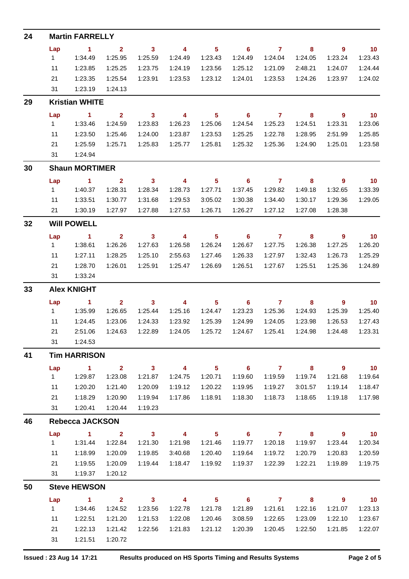| 24 |          | <b>Martin FARRELLY</b>  |                           |                                    |                                    |                           |                                       |                           |                         |                           |                             |
|----|----------|-------------------------|---------------------------|------------------------------------|------------------------------------|---------------------------|---------------------------------------|---------------------------|-------------------------|---------------------------|-----------------------------|
|    | Lap      | $\blacksquare$ 1        | $\mathbf{2}$              | $\mathbf{3}$                       | $\overline{4}$                     | 5 <sub>1</sub>            | $\overline{\phantom{0}}$ 6            | $\mathbf{7}$              | 8                       | 9                         | 10                          |
|    | 1        | 1:34.49                 | 1:25.95                   | 1:25.59                            | 1:24.49                            | 1:23.43                   | 1:24.49                               | 1:24.04                   | 1:24.05                 | 1:23.24                   | 1:23.43                     |
|    | 11       | 1:23.85                 | 1:25.25                   | 1:23.75                            | 1:24.19                            | 1:23.56                   | 1:25.12                               | 1:21.09                   | 2:48.21                 | 1:24.07                   | 1:24.44                     |
|    | 21       | 1:23.35                 | 1:25.54                   | 1:23.91                            | 1:23.53                            | 1:23.12                   | 1:24.01                               | 1:23.53                   | 1:24.26                 | 1:23.97                   | 1:24.02                     |
|    | 31       | 1:23.19                 | 1:24.13                   |                                    |                                    |                           |                                       |                           |                         |                           |                             |
| 29 |          | <b>Kristian WHITE</b>   |                           |                                    |                                    |                           |                                       |                           |                         |                           |                             |
|    | Lap      | $\blacksquare$ 1        | $\mathbf{2}$              | $\overline{\mathbf{3}}$            | 4                                  | 5 <sup>5</sup>            | $\overline{\phantom{0}}$ 6            | $\overline{7}$            | 8                       | 9                         | $\overline{\phantom{0}}$ 10 |
|    | 1        | 1:33.46                 | 1:24.59                   | 1:23.83                            | 1:26.23                            | 1:25.06                   | 1:24.54                               | 1:25.23                   | 1:24.51                 | 1:23.31                   | 1:23.06                     |
|    | 11       | 1:23.50                 | 1:25.46                   | 1:24.00                            | 1:23.87                            | 1:23.53                   | 1:25.25                               | 1:22.78                   | 1:28.95                 | 2:51.99                   | 1:25.85                     |
|    | 21       | 1:25.59                 | 1:25.71                   | 1:25.83                            | 1:25.77                            | 1:25.81                   | 1:25.32                               | 1:25.36                   | 1:24.90                 | 1:25.01                   | 1:23.58                     |
|    | 31       | 1:24.94                 |                           |                                    |                                    |                           |                                       |                           |                         |                           |                             |
| 30 |          | <b>Shaun MORTIMER</b>   |                           |                                    |                                    |                           |                                       |                           |                         |                           |                             |
|    | Lap      | $\blacksquare$ 1        | $\overline{2}$            | $\overline{\mathbf{3}}$            | 4                                  | $5\phantom{.0}$           | $\overline{\phantom{0}}$ 6            | $\overline{7}$            | 8                       | 9                         | 10                          |
|    | 1        | 1:40.37                 | 1:28.31                   | 1:28.34                            | 1:28.73                            | 1:27.71                   | 1:37.45                               | 1:29.82                   | 1:49.18                 | 1:32.65                   | 1:33.39                     |
|    | 11       | 1:33.51                 | 1:30.77                   | 1:31.68                            | 1:29.53                            | 3:05.02                   | 1:30.38                               | 1:34.40                   | 1:30.17                 | 1:29.36                   | 1:29.05                     |
|    | 21       | 1:30.19                 | 1:27.97                   | 1:27.88                            | 1:27.53                            | 1:26.71                   | 1:26.27                               | 1:27.12                   | 1:27.08                 | 1:28.38                   |                             |
| 32 |          | <b>Will POWELL</b>      |                           |                                    |                                    |                           |                                       |                           |                         |                           |                             |
|    | Lap      | $\blacksquare$ 1        | $\overline{2}$            | $\mathbf{3}$                       | $\overline{\mathbf{4}}$            | 5 <sup>5</sup>            | 6                                     | $\overline{7}$            | 8                       | $\overline{9}$            | 10                          |
|    | 1        | 1:38.61                 | 1:26.26                   | 1:27.63                            | 1:26.58                            | 1:26.24                   | 1:26.67                               | 1:27.75                   | 1:26.38                 | 1:27.25                   | 1:26.20                     |
|    | 11       | 1:27.11                 | 1:28.25                   | 1:25.10                            | 2:55.63                            | 1:27.46                   | 1:26.33                               | 1:27.97                   | 1:32.43                 | 1:26.73                   | 1:25.29                     |
|    | 21       | 1:28.70                 | 1:26.01                   | 1:25.91                            | 1:25.47                            | 1:26.69                   | 1:26.51                               | 1:27.67                   | 1:25.51                 | 1:25.36                   | 1:24.89                     |
|    | 31       | 1:33.24                 |                           |                                    |                                    |                           |                                       |                           |                         |                           |                             |
| 33 |          | <b>Alex KNIGHT</b>      |                           |                                    |                                    |                           |                                       |                           |                         |                           |                             |
|    | Lap<br>1 | $\sim$ 1<br>1:35.99     | $\overline{2}$<br>1:26.65 | $\mathbf{3}$<br>1:25.44            | $\overline{\mathbf{4}}$<br>1:25.16 | 5 <sup>5</sup><br>1:24.47 | 6<br>1:23.23                          | $\mathbf{7}$<br>1:25.36   | 8<br>1:24.93            | 9<br>1:25.39              | 10<br>1:25.40               |
|    | 11       | 1:24.45                 | 1:23.06                   | 1:24.33                            | 1:23.92                            | 1:25.39                   | 1:24.99                               | 1:24.05                   | 1:23.98                 | 1:26.53                   | 1:27.43                     |
|    | 21       | 2:51.06                 | 1:24.63                   | 1:22.89                            | 1:24.05                            | 1:25.72                   | 1:24.67                               | 1:25.41                   | 1:24.98                 | 1:24.48                   | 1:23.31                     |
|    | 31       | 1:24.53                 |                           |                                    |                                    |                           |                                       |                           |                         |                           |                             |
| 41 |          | <b>Tim HARRISON</b>     |                           |                                    |                                    |                           |                                       |                           |                         |                           |                             |
|    | Lap      | $\blacktriangleleft$    | $\overline{2}$            | $\overline{\mathbf{3}}$            | $\overline{\mathbf{4}}$            | 5 <sup>5</sup>            | $\overline{\phantom{0}}$ 6            | $\overline{7}$            | $\overline{\mathbf{8}}$ | 9                         | 10                          |
|    | 1        | 1:29.87                 | 1:23.08                   | 1:21.87                            | 1:24.75                            | 1:20.71                   | 1:19.60                               | 1:19.59                   | 1:19.74                 | 1:21.68                   | 1:19.64                     |
|    | 11       | 1:20.20                 | 1:21.40                   | 1:20.09                            | 1:19.12                            | 1:20.22                   | 1:19.95                               | 1:19.27                   | 3:01.57                 | 1:19.14                   | 1:18.47                     |
|    | 21       | 1:18.29                 | 1:20.90                   | 1:19.94                            | 1:17.86                            | 1:18.91                   | 1:18.30                               | 1:18.73                   | 1:18.65                 | 1:19.18                   | 1:17.98                     |
|    | 31       | 1:20.41                 | 1:20.44                   | 1:19.23                            |                                    |                           |                                       |                           |                         |                           |                             |
| 46 |          | <b>Rebecca JACKSON</b>  |                           |                                    |                                    |                           |                                       |                           |                         |                           |                             |
|    | Lap      | $\blacksquare$          | $\mathbf{2}$              | $\mathbf{3}$                       | $\overline{4}$                     | 5 <sub>5</sub>            | $\overline{\phantom{0}}$ 6            | $\overline{7}$            | 8                       | 9                         | 10                          |
|    | 1        | 1:31.44                 | 1:22.84                   | 1:21.30                            | 1:21.98                            | 1:21.46                   | 1:19.77                               | 1:20.18                   | 1:19.97                 | 1:23.44                   | 1:20.34                     |
|    | 11       | 1:18.99                 | 1:20.09                   | 1:19.85                            | 3:40.68                            | 1:20.40                   | 1:19.64                               | 1:19.72                   | 1:20.79                 | 1:20.83                   | 1:20.59                     |
|    | 21       | 1:19.55                 | 1:20.09                   | 1:19.44                            | 1:18.47                            | 1:19.92                   | 1:19.37                               | 1:22.39                   | 1:22.21                 | 1:19.89                   | 1:19.75                     |
|    | 31       | 1:19.37                 | 1:20.12                   |                                    |                                    |                           |                                       |                           |                         |                           |                             |
| 50 |          | <b>Steve HEWSON</b>     |                           |                                    |                                    |                           |                                       |                           |                         |                           |                             |
|    | Lap<br>1 | $\mathbf{1}$<br>1:34.46 | $\mathbf{2}$<br>1:24.52   | $\overline{\mathbf{3}}$<br>1:23.56 | 4<br>1:22.78                       | 5 <sub>5</sub><br>1:21.78 | $\overline{\phantom{0}}$ 6<br>1:21.89 | $\overline{7}$<br>1:21.61 | 8<br>1:22.16            | $\overline{9}$<br>1:21.07 | 10<br>1:23.13               |
|    | 11       | 1:22.51                 | 1:21.20                   | 1:21.53                            | 1:22.08                            | 1:20.46                   | 3:08.59                               | 1:22.65                   | 1:23.09                 | 1:22.10                   | 1:23.67                     |
|    | 21       | 1:22.13                 | 1:21.42                   | 1:22.56                            | 1:21.83                            | 1:21.12                   | 1:20.39                               | 1:20.45                   | 1:22.50                 | 1:21.85                   | 1:22.07                     |
|    | 31       | 1:21.51                 | 1:20.72                   |                                    |                                    |                           |                                       |                           |                         |                           |                             |
|    |          |                         |                           |                                    |                                    |                           |                                       |                           |                         |                           |                             |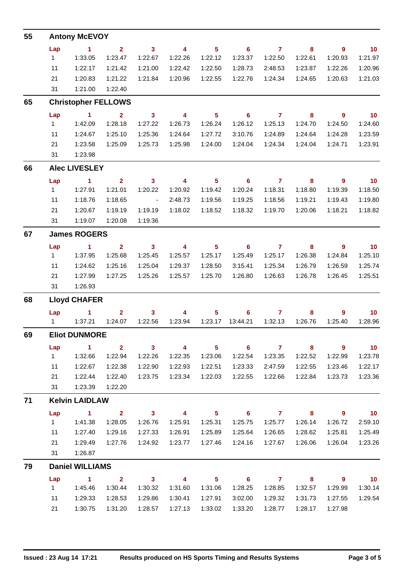| 55 | <b>Antony McEVOY</b>   |                                 |                    |                         |                          |                    |                            |                    |                    |                          |                    |  |  |  |
|----|------------------------|---------------------------------|--------------------|-------------------------|--------------------------|--------------------|----------------------------|--------------------|--------------------|--------------------------|--------------------|--|--|--|
|    | Lap                    | $\blacktriangleleft$            | $\mathbf{2}$       | $\mathbf{3}$            | $\overline{4}$           | 5 <sup>5</sup>     | $\overline{\phantom{0}}$ 6 | $\overline{7}$     | 8                  | $\overline{9}$           | 10                 |  |  |  |
|    | 1                      | 1:33.05                         | 1:23.47            | 1:22.67                 | 1:22.26                  | 1:22.12            | 1:23.37                    | 1:22.50            | 1:22.61            | 1:20.93                  | 1:21.97            |  |  |  |
|    | 11                     | 1:22.17                         | 1:21.42            | 1:21.00                 | 1:22.42                  | 1:22.50            | 1:28.73                    | 2:48.53            | 1:23.87            | 1:22.26                  | 1:20.96            |  |  |  |
|    | 21                     | 1:20.83                         | 1:21.22            | 1:21.84                 | 1:20.96                  | 1:22.55            | 1:22.76                    | 1:24.34            | 1:24.65            | 1:20.63                  | 1:21.03            |  |  |  |
|    | 31                     | 1:21.00                         | 1:22.40            |                         |                          |                    |                            |                    |                    |                          |                    |  |  |  |
| 65 |                        | <b>Christopher FELLOWS</b>      |                    |                         |                          |                    |                            |                    |                    |                          |                    |  |  |  |
|    | Lap                    | $\blacksquare$ 1                | $\mathbf{2}$       | $\mathbf{3}$            | $\overline{\phantom{a}}$ | 5 <sup>5</sup>     | $\overline{\phantom{0}}$ 6 | $\overline{7}$     | 8                  | $\overline{\phantom{a}}$ | $\blacksquare$ 10  |  |  |  |
|    | 1                      | 1:42.09                         | 1:28.18            | 1:27.22                 | 1:26.73                  | 1:26.24            | 1:26.12                    | 1:25.13            | 1:24.70            | 1:24.50                  | 1:24.60            |  |  |  |
|    | 11                     | 1:24.67                         | 1:25.10            | 1:25.36                 | 1:24.64                  | 1:27.72            | 3:10.76                    | 1:24.89            | 1:24.64            | 1:24.28                  | 1:23.59            |  |  |  |
|    | 21                     | 1:23.58                         | 1:25.09            | 1:25.73                 | 1:25.98                  | 1:24.00            | 1:24.04                    | 1:24.34            | 1:24.04            | 1:24.71                  | 1:23.91            |  |  |  |
|    | 31                     | 1:23.98                         |                    |                         |                          |                    |                            |                    |                    |                          |                    |  |  |  |
| 66 |                        | <b>Alec LIVESLEY</b>            |                    |                         |                          |                    |                            |                    |                    |                          |                    |  |  |  |
|    | Lap                    | $\blacksquare$ 1                | $\mathbf{2}$       | $\overline{\mathbf{3}}$ | $\sim$ 4                 | 5 <sup>5</sup>     | $\overline{\phantom{0}}$ 6 | $\overline{7}$     | 8                  | $\overline{\phantom{a}}$ | $\overline{10}$    |  |  |  |
|    | 1                      | 1:27.91                         | 1:21.01            | 1:20.22                 | 1:20.92                  | 1:19.42            | 1:20.24                    | 1:18.31            | 1:18.80            | 1:19.39                  | 1:18.50            |  |  |  |
|    | 11                     | 1:18.76                         | 1:18.65            | $\sim$ $-$              | 2:48.73                  | 1:19.56            | 1:19.25                    | 1:18.56            | 1:19.21            | 1:19.43                  | 1:19.80            |  |  |  |
|    | 21<br>31               | 1:20.67<br>1:19.07              | 1:19.19            | 1:19.19<br>1:19.36      | 1:18.02                  | 1:18.52            | 1:18.32                    | 1:19.70            | 1:20.06            | 1:18.21                  | 1:18.82            |  |  |  |
|    |                        |                                 | 1:20.08            |                         |                          |                    |                            |                    |                    |                          |                    |  |  |  |
| 67 |                        | <b>James ROGERS</b>             |                    |                         |                          |                    |                            |                    |                    |                          |                    |  |  |  |
|    | Lap                    | $\blacktriangleleft$<br>1:37.95 | $\overline{2}$     | $\overline{\mathbf{3}}$ | $\overline{\phantom{a}}$ | $5\phantom{.0}$    | $\overline{\phantom{0}}$ 6 | $\overline{7}$     | 8                  | $\overline{\phantom{a}}$ | $\overline{10}$    |  |  |  |
|    | 1<br>11                | 1:24.62                         | 1:25.68<br>1:25.16 | 1:25.45<br>1:25.04      | 1:25.57<br>1:29.37       | 1:25.17            | 1:25.49<br>3:15.41         | 1:25.17<br>1:25.34 | 1:26.38<br>1:26.79 | 1:24.84                  | 1:25.10<br>1:25.74 |  |  |  |
|    | 21                     | 1:27.99                         | 1:27.25            | 1:25.26                 | 1:25.57                  | 1:28.50<br>1:25.70 | 1:26.80                    | 1:26.63            | 1:26.78            | 1:26.59<br>1:26.45       | 1:25.51            |  |  |  |
|    | 31                     | 1:26.93                         |                    |                         |                          |                    |                            |                    |                    |                          |                    |  |  |  |
| 68 |                        | <b>Lloyd CHAFER</b>             |                    |                         |                          |                    |                            |                    |                    |                          |                    |  |  |  |
|    | Lap                    | $\sim$ 1                        | $\mathbf{2}$       | $\mathbf{3}$            | 4                        | 5                  | 6                          | $\mathbf{7}$       | 8                  | 9                        | 10                 |  |  |  |
|    | 1                      | 1:37.21                         | 1:24.07            | 1:22.56                 | 1:23.94                  | 1:23.17            | 13:44.21                   | 1:32.13            | 1:26.76            | 1:25.40                  | 1:28.96            |  |  |  |
| 69 |                        | <b>Eliot DUNMORE</b>            |                    |                         |                          |                    |                            |                    |                    |                          |                    |  |  |  |
|    | Lap                    | $\sim$ 1                        | $\overline{2}$     | $\overline{\mathbf{3}}$ | $\overline{\mathbf{4}}$  | $5\phantom{.0}$    | $\overline{\phantom{0}}$ 6 | $\overline{7}$     | 8                  | $\overline{9}$           | 10                 |  |  |  |
|    | 1                      | 1:32.66                         | 1:22.94            | 1:22.26                 | 1:22.35                  | 1:23.06            | 1:22.54                    | 1:23.35            | 1:22.52            | 1:22.99                  | 1:23.78            |  |  |  |
|    | 11                     | 1:22.67                         | 1:22.38            | 1:22.90                 | 1:22.93                  | 1:22.51            | 1:23.33                    | 2:47.59            | 1:22.55            | 1:23.46                  | 1:22.17            |  |  |  |
|    | 21                     | 1:22.44                         | 1:22.40            | 1:23.75                 | 1:23.34                  | 1:22.03            | 1:22.55                    | 1:22.66            | 1:22.84            | 1:23.73                  | 1:23.36            |  |  |  |
|    | 31                     | 1:23.39                         | 1:22.20            |                         |                          |                    |                            |                    |                    |                          |                    |  |  |  |
| 71 |                        | <b>Kelvin LAIDLAW</b>           |                    |                         |                          |                    |                            |                    |                    |                          |                    |  |  |  |
|    | Lap                    | $\sim$ 1                        | $\overline{2}$     | $\overline{\mathbf{3}}$ | $\overline{\mathbf{4}}$  | 5 <sup>5</sup>     | $\overline{\phantom{a}}$ 6 | $\overline{7}$     | 8                  | 9                        | $\overline{10}$    |  |  |  |
|    | 1                      | 1:41.38                         | 1:28.05            | 1:26.76                 | 1:25.91                  | 1:25.31            | 1:25.75                    | 1:25.77            | 1:26.14            | 1:26.72                  | 2:59.10            |  |  |  |
|    | 11                     | 1:27.40                         | 1:29.16            | 1:27.33                 | 1:26.91                  | 1:25.89            | 1:25.64                    | 1:26.65            | 1:28.62            | 1:25.81                  | 1:25.49            |  |  |  |
|    | 21                     | 1:29.49                         | 1:27.76            | 1:24.92                 | 1:23.77                  | 1:27.46            | 1:24.16                    | 1:27.67            | 1:26.06            | 1:26.04                  | 1:23.26            |  |  |  |
|    | 31                     | 1:26.87                         |                    |                         |                          |                    |                            |                    |                    |                          |                    |  |  |  |
| 79 | <b>Daniel WILLIAMS</b> |                                 |                    |                         |                          |                    |                            |                    |                    |                          |                    |  |  |  |
|    | Lap                    | $\sim$ 1                        | $\overline{2}$     | $\overline{\mathbf{3}}$ | $\overline{\mathbf{4}}$  | 5 <sub>5</sub>     | $\overline{\phantom{0}}$ 6 | $\overline{7}$     | 8                  | 9                        | 10                 |  |  |  |
|    | $1 \quad$              | 1:45.46                         | 1:30.44            | 1:30.32                 | 1:31.60                  | 1:31.06            | 1:28.25                    | 1:28.85            | 1:32.57            | 1:29.99                  | 1:30.14            |  |  |  |
|    | 11                     | 1:29.33                         | 1:28.53            | 1:29.86                 | 1:30.41                  | 1:27.91            | 3:02.00                    | 1:29.32            | 1:31.73            | 1:27.55                  | 1:29.54            |  |  |  |
|    | 21                     | 1:30.75                         | 1:31.20            | 1:28.57                 | 1:27.13                  | 1:33.02            | 1:33.20                    | 1:28.77            | 1:28.17            | 1:27.98                  |                    |  |  |  |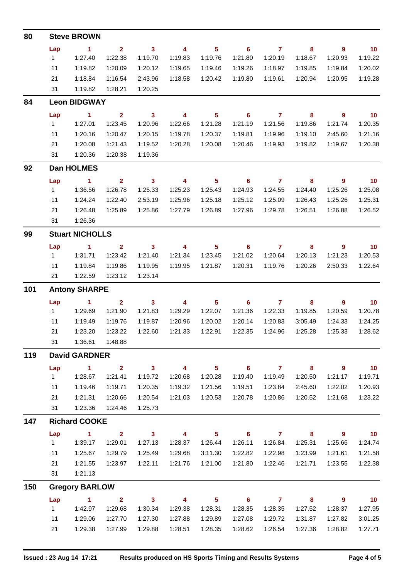| 80  |                      | <b>Steve BROWN</b>     |                |                            |                         |                |                            |                |                         |                |                 |  |  |  |  |
|-----|----------------------|------------------------|----------------|----------------------------|-------------------------|----------------|----------------------------|----------------|-------------------------|----------------|-----------------|--|--|--|--|
|     | Lap                  | $\blacktriangleleft$   | $\overline{2}$ | $\overline{\phantom{a}}$ 3 | $\overline{4}$          | 5              | $6\phantom{1}$             | $\overline{7}$ | 8                       | 9              | 10 <sub>1</sub> |  |  |  |  |
|     | 1                    | 1:27.40                | 1:22.38        | 1:19.70                    | 1:19.83                 | 1:19.76        | 1:21.80                    | 1:20.19        | 1:18.67                 | 1:20.93        | 1:19.22         |  |  |  |  |
|     | 11                   | 1:19.82                | 1:20.09        | 1:20.12                    | 1:19.65                 | 1:19.46        | 1:19.26                    | 1:18.97        | 1:19.85                 | 1:19.84        | 1:20.02         |  |  |  |  |
|     | 21                   | 1:18.84                | 1:16.54        | 2:43.96                    | 1:18.58                 | 1:20.42        | 1:19.80                    | 1:19.61        | 1:20.94                 | 1:20.95        | 1:19.28         |  |  |  |  |
|     | 31                   | 1:19.82                | 1:28.21        | 1:20.25                    |                         |                |                            |                |                         |                |                 |  |  |  |  |
| 84  |                      | <b>Leon BIDGWAY</b>    |                |                            |                         |                |                            |                |                         |                |                 |  |  |  |  |
|     | Lap                  | $\blacksquare$ 1       | $\mathbf{2}$   | $\overline{\phantom{a}}$ 3 | 4                       | 5              | 6                          | $\mathbf{7}$   | 8                       | 9              | 10              |  |  |  |  |
|     | $\mathbf{1}$         | 1:27.01                | 1:23.45        | 1:20.96                    | 1:22.66                 | 1:21.28        | 1:21.19                    | 1:21.56        | 1:19.86                 | 1:21.74        | 1:20.35         |  |  |  |  |
|     | 11                   | 1:20.16                | 1:20.47        | 1:20.15                    | 1:19.78                 | 1:20.37        | 1:19.81                    | 1:19.96        | 1:19.10                 | 2:45.60        | 1:21.16         |  |  |  |  |
|     | 21                   | 1:20.08                | 1:21.43        | 1:19.52                    | 1:20.28                 | 1:20.08        | 1:20.46                    | 1:19.93        | 1:19.82                 | 1:19.67        | 1:20.38         |  |  |  |  |
|     | 31                   | 1:20.36                | 1:20.38        | 1:19.36                    |                         |                |                            |                |                         |                |                 |  |  |  |  |
| 92  |                      | Dan HOLMES             |                |                            |                         |                |                            |                |                         |                |                 |  |  |  |  |
|     | Lap                  | $\blacksquare$ 1       | $\mathbf{2}$   | $\mathbf{3}$               | 4                       | 5              | $6\phantom{1}$             | $\mathbf{7}$   | 8                       | $\overline{9}$ | 10              |  |  |  |  |
|     | $\mathbf{1}$         | 1:36.56                | 1:26.78        | 1:25.33                    | 1:25.23                 | 1:25.43        | 1:24.93                    | 1:24.55        | 1:24.40                 | 1:25.26        | 1:25.08         |  |  |  |  |
|     | 11                   | 1:24.24                | 1:22.40        | 2:53.19                    | 1:25.96                 | 1:25.18        | 1:25.12                    | 1:25.09        | 1:26.43                 | 1:25.26        | 1:25.31         |  |  |  |  |
|     | 21                   | 1:26.48                | 1:25.89        | 1:25.86                    | 1:27.79                 | 1:26.89        | 1:27.96                    | 1:29.78        | 1:26.51                 | 1:26.88        | 1:26.52         |  |  |  |  |
|     | 31                   | 1:26.36                |                |                            |                         |                |                            |                |                         |                |                 |  |  |  |  |
| 99  |                      | <b>Stuart NICHOLLS</b> |                |                            |                         |                |                            |                |                         |                |                 |  |  |  |  |
|     | Lap                  | $\mathbf{1}$           | $\mathbf{2}$   | $\mathbf{3}$               | $\overline{4}$          | 5              | 6                          | $\mathbf{7}$   | 8                       | 9              | 10              |  |  |  |  |
|     | $\mathbf{1}$         | 1:31.71                | 1:23.42        | 1:21.40                    | 1:21.34                 | 1:23.45        | 1:21.02                    | 1:20.64        | 1:20.13                 | 1:21.23        | 1:20.53         |  |  |  |  |
|     | 11                   | 1:19.84                | 1:19.86        | 1:19.95                    | 1:19.95                 | 1:21.87        | 1:20.31                    | 1:19.76        | 1:20.26                 | 2:50.33        | 1:22.64         |  |  |  |  |
|     | 21                   | 1:22.59                | 1:23.12        | 1:23.14                    |                         |                |                            |                |                         |                |                 |  |  |  |  |
| 101 |                      | <b>Antony SHARPE</b>   |                |                            |                         |                |                            |                |                         |                |                 |  |  |  |  |
|     | Lap                  | $\mathbf{1}$           | $\overline{2}$ | $\mathbf{3}$               | 4                       | $5\phantom{a}$ | 6                          | $\mathbf{7}$   | 8                       | 9              | 10 <sub>1</sub> |  |  |  |  |
|     | 1                    | 1:29.69                | 1:21.90        | 1:21.83                    | 1:29.29                 | 1:22.07        | 1:21.36                    | 1:22.33        | 1:19.85                 | 1:20.59        | 1:20.78         |  |  |  |  |
|     | 11                   | 1:19.49                | 1:19.76        | 1:19.87                    | 1:20.96                 | 1:20.02        | 1:20.14                    | 1:20.83        | 3:05.49                 | 1:24.33        | 1:24.25         |  |  |  |  |
|     | 21                   | 1:23.20                | 1:23.22        | 1:22.60                    | 1:21.33                 | 1:22.91        | 1:22.35                    | 1:24.96        | 1:25.28                 | 1:25.33        | 1:28.62         |  |  |  |  |
|     | 31                   | 1:36.61                | 1:48.88        |                            |                         |                |                            |                |                         |                |                 |  |  |  |  |
| 119 | <b>David GARDNER</b> |                        |                |                            |                         |                |                            |                |                         |                |                 |  |  |  |  |
|     | Lap                  | $\mathbf{1}$           | $\overline{2}$ | 3 <sup>1</sup>             | $\overline{\mathbf{4}}$ | 5 <sup>5</sup> | $\overline{\phantom{0}}$ 6 | $\overline{7}$ | $\overline{\mathbf{8}}$ | 9              | 10              |  |  |  |  |
|     | $\mathbf{1}$         | 1:28.67                | 1:21.41        | 1:19.72                    | 1:20.68                 | 1:20.28        | 1:19.40                    | 1:19.49        | 1:20.50                 | 1:21.17        | 1:19.71         |  |  |  |  |
|     | 11                   | 1:19.46                | 1:19.71        | 1:20.35                    | 1:19.32                 | 1:21.56        | 1:19.51                    | 1:23.84        | 2:45.60                 | 1:22.02        | 1:20.93         |  |  |  |  |
|     | 21                   | 1:21.31                | 1:20.66        | 1:20.54                    | 1:21.03                 | 1:20.53        | 1:20.78                    | 1:20.86        | 1:20.52                 | 1:21.68        | 1:23.22         |  |  |  |  |
|     | 31                   | 1:23.36                | 1:24.46        | 1:25.73                    |                         |                |                            |                |                         |                |                 |  |  |  |  |
| 147 |                      | <b>Richard COOKE</b>   |                |                            |                         |                |                            |                |                         |                |                 |  |  |  |  |
|     | Lap                  | $\overline{1}$         | $\overline{2}$ | $\mathbf{3}$               | $\overline{4}$          | 5 <sub>5</sub> | $\overline{\phantom{0}}$ 6 | $\overline{7}$ | 8                       | 9              | 10              |  |  |  |  |
|     | 1                    | 1:39.17                | 1:29.01        | 1:27.13                    | 1:28.37                 | 1:26.44        | 1:26.11                    | 1:26.84        | 1:25.31                 | 1:25.66        | 1:24.74         |  |  |  |  |
|     | 11                   | 1:25.67                | 1:29.79        | 1:25.49                    | 1:29.68                 | 3:11.30        | 1:22.82                    | 1:22.98        | 1:23.99                 | 1:21.61        | 1:21.58         |  |  |  |  |
|     | 21                   | 1:21.55                | 1:23.97        | 1:22.11                    | 1:21.76                 | 1:21.00        | 1:21.80                    | 1:22.46        | 1:21.71                 | 1:23.55        | 1:22.38         |  |  |  |  |
|     | 31                   | 1:21.13                |                |                            |                         |                |                            |                |                         |                |                 |  |  |  |  |
| 150 |                      | <b>Gregory BARLOW</b>  |                |                            |                         |                |                            |                |                         |                |                 |  |  |  |  |
|     | Lap                  | $\mathbf{1}$           | $\overline{2}$ | $\overline{\mathbf{3}}$    | $\overline{4}$          | 5 <sub>5</sub> | $\overline{\phantom{0}}$ 6 | $\overline{7}$ | 8                       | $\overline{9}$ | 10              |  |  |  |  |
|     | 1                    | 1:42.97                | 1:29.68        | 1:30.34                    | 1:29.38                 | 1:28.31        | 1:28.35                    | 1:28.35        | 1:27.52                 | 1:28.37        | 1:27.95         |  |  |  |  |
|     | 11                   | 1:29.06                | 1:27.70        | 1:27.30                    | 1:27.88                 | 1:29.89        | 1:27.08                    | 1:29.72        | 1:31.87                 | 1:27.82        | 3:01.25         |  |  |  |  |
|     | 21                   | 1:29.38                | 1:27.99        | 1:29.88                    | 1:28.51                 | 1:28.35        | 1:28.62                    | 1:26.54        | 1:27.36                 | 1:28.82        | 1:27.71         |  |  |  |  |